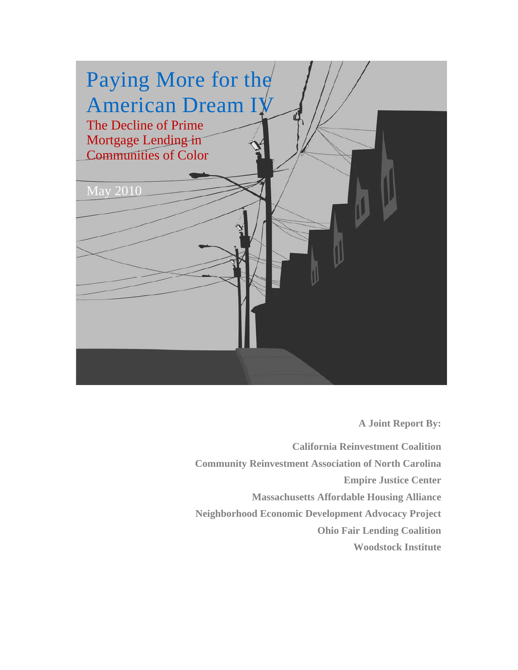

**A Joint Report By:** 

**California Reinvestment Coalition Community Reinvestment Association of North Carolina Empire Justice Center Massachusetts Affordable Housing Alliance Neighborhood Economic Development Advocacy Project Ohio Fair Lending Coalition Woodstock Institute**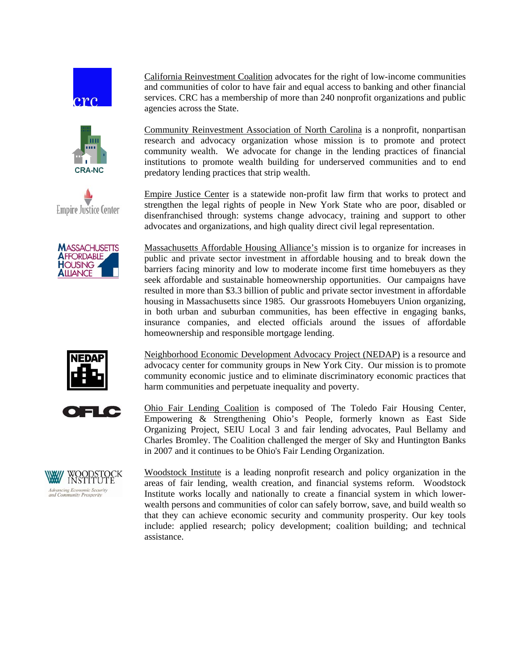







California Reinvestment Coalition advocates for the right of low-income communities and communities of color to have fair and equal access to banking and other financial services. CRC has a membership of more than 240 nonprofit organizations and public agencies across the State.

Community Reinvestment Association of North Carolina is a nonprofit, nonpartisan research and advocacy organization whose mission is to promote and protect community wealth. We advocate for change in the lending practices of financial institutions to promote wealth building for underserved communities and to end predatory lending practices that strip wealth.

Empire Justice Center is a statewide non-profit law firm that works to protect and strengthen the legal rights of people in New York State who are poor, disabled or disenfranchised through: systems change advocacy, training and support to other advocates and organizations, and high quality direct civil legal representation.

Massachusetts Affordable Housing Alliance's mission is to organize for increases in public and private sector investment in affordable housing and to break down the barriers facing minority and low to moderate income first time homebuyers as they seek affordable and sustainable homeownership opportunities. Our campaigns have resulted in more than \$3.3 billion of public and private sector investment in affordable housing in Massachusetts since 1985. Our grassroots Homebuyers Union organizing, in both urban and suburban communities, has been effective in engaging banks, insurance companies, and elected officials around the issues of affordable homeownership and responsible mortgage lending.



Neighborhood Economic Development Advocacy Project (NEDAP) is a resource and advocacy center for community groups in New York City. Our mission is to promote community economic justice and to eliminate discriminatory economic practices that harm communities and perpetuate inequality and poverty.

E Ko

Ohio Fair Lending Coalition is composed of The Toledo Fair Housing Center, Empowering & Strengthening Ohio's People, formerly known as East Side Organizing Project, SEIU Local 3 and fair lending advocates, Paul Bellamy and Charles Bromley. The Coalition challenged the merger of Sky and Huntington Banks in 2007 and it continues to be Ohio's Fair Lending Organization.

WOODSTOCK<br>INSTITUTE Advancing Economic Security<br>and Community Prosperity

Woodstock Institute is a leading nonprofit research and policy organization in the areas of fair lending, wealth creation, and financial systems reform. Woodstock Institute works locally and nationally to create a financial system in which lowerwealth persons and communities of color can safely borrow, save, and build wealth so that they can achieve economic security and community prosperity. Our key tools include: applied research; policy development; coalition building; and technical assistance.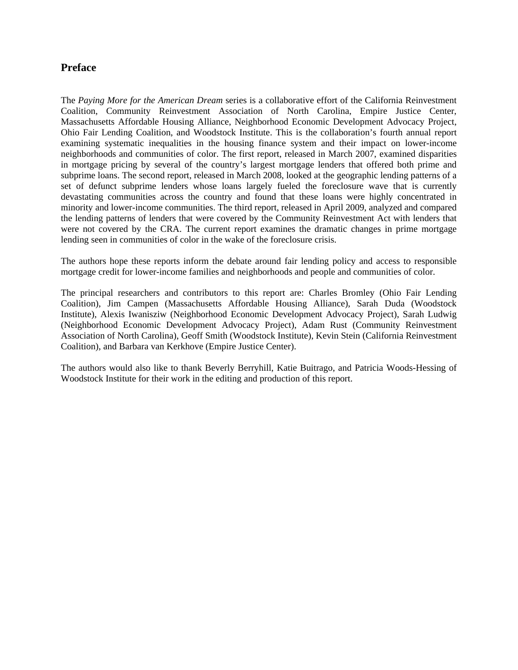# **Preface**

The *Paying More for the American Dream* series is a collaborative effort of the California Reinvestment Coalition, Community Reinvestment Association of North Carolina, Empire Justice Center, Massachusetts Affordable Housing Alliance, Neighborhood Economic Development Advocacy Project, Ohio Fair Lending Coalition, and Woodstock Institute. This is the collaboration's fourth annual report examining systematic inequalities in the housing finance system and their impact on lower-income neighborhoods and communities of color. The first report, released in March 2007, examined disparities in mortgage pricing by several of the country's largest mortgage lenders that offered both prime and subprime loans. The second report, released in March 2008, looked at the geographic lending patterns of a set of defunct subprime lenders whose loans largely fueled the foreclosure wave that is currently devastating communities across the country and found that these loans were highly concentrated in minority and lower-income communities. The third report, released in April 2009, analyzed and compared the lending patterns of lenders that were covered by the Community Reinvestment Act with lenders that were not covered by the CRA. The current report examines the dramatic changes in prime mortgage lending seen in communities of color in the wake of the foreclosure crisis.

The authors hope these reports inform the debate around fair lending policy and access to responsible mortgage credit for lower-income families and neighborhoods and people and communities of color.

The principal researchers and contributors to this report are: Charles Bromley (Ohio Fair Lending Coalition), Jim Campen (Massachusetts Affordable Housing Alliance), Sarah Duda (Woodstock Institute), Alexis Iwanisziw (Neighborhood Economic Development Advocacy Project), Sarah Ludwig (Neighborhood Economic Development Advocacy Project), Adam Rust (Community Reinvestment Association of North Carolina), Geoff Smith (Woodstock Institute), Kevin Stein (California Reinvestment Coalition), and Barbara van Kerkhove (Empire Justice Center).

The authors would also like to thank Beverly Berryhill, Katie Buitrago, and Patricia Woods-Hessing of Woodstock Institute for their work in the editing and production of this report.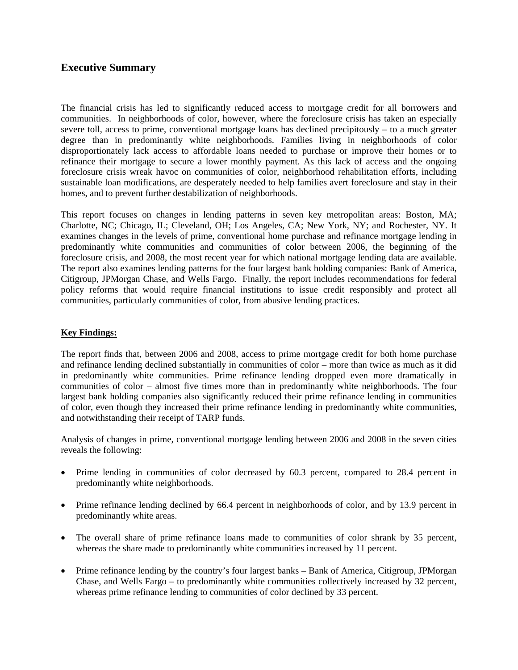# **Executive Summary**

The financial crisis has led to significantly reduced access to mortgage credit for all borrowers and communities. In neighborhoods of color, however, where the foreclosure crisis has taken an especially severe toll, access to prime, conventional mortgage loans has declined precipitously – to a much greater degree than in predominantly white neighborhoods. Families living in neighborhoods of color disproportionately lack access to affordable loans needed to purchase or improve their homes or to refinance their mortgage to secure a lower monthly payment. As this lack of access and the ongoing foreclosure crisis wreak havoc on communities of color, neighborhood rehabilitation efforts, including sustainable loan modifications, are desperately needed to help families avert foreclosure and stay in their homes, and to prevent further destabilization of neighborhoods.

This report focuses on changes in lending patterns in seven key metropolitan areas: Boston, MA; Charlotte, NC; Chicago, IL; Cleveland, OH; Los Angeles, CA; New York, NY; and Rochester, NY. It examines changes in the levels of prime, conventional home purchase and refinance mortgage lending in predominantly white communities and communities of color between 2006, the beginning of the foreclosure crisis, and 2008, the most recent year for which national mortgage lending data are available. The report also examines lending patterns for the four largest bank holding companies: Bank of America, Citigroup, JPMorgan Chase, and Wells Fargo. Finally, the report includes recommendations for federal policy reforms that would require financial institutions to issue credit responsibly and protect all communities, particularly communities of color, from abusive lending practices.

# **Key Findings:**

The report finds that, between 2006 and 2008, access to prime mortgage credit for both home purchase and refinance lending declined substantially in communities of color – more than twice as much as it did in predominantly white communities. Prime refinance lending dropped even more dramatically in communities of color – almost five times more than in predominantly white neighborhoods. The four largest bank holding companies also significantly reduced their prime refinance lending in communities of color, even though they increased their prime refinance lending in predominantly white communities, and notwithstanding their receipt of TARP funds.

Analysis of changes in prime, conventional mortgage lending between 2006 and 2008 in the seven cities reveals the following:

- Prime lending in communities of color decreased by 60.3 percent, compared to 28.4 percent in predominantly white neighborhoods.
- Prime refinance lending declined by 66.4 percent in neighborhoods of color, and by 13.9 percent in predominantly white areas.
- The overall share of prime refinance loans made to communities of color shrank by 35 percent, whereas the share made to predominantly white communities increased by 11 percent.
- Prime refinance lending by the country's four largest banks Bank of America, Citigroup, JPMorgan Chase, and Wells Fargo – to predominantly white communities collectively increased by 32 percent, whereas prime refinance lending to communities of color declined by 33 percent.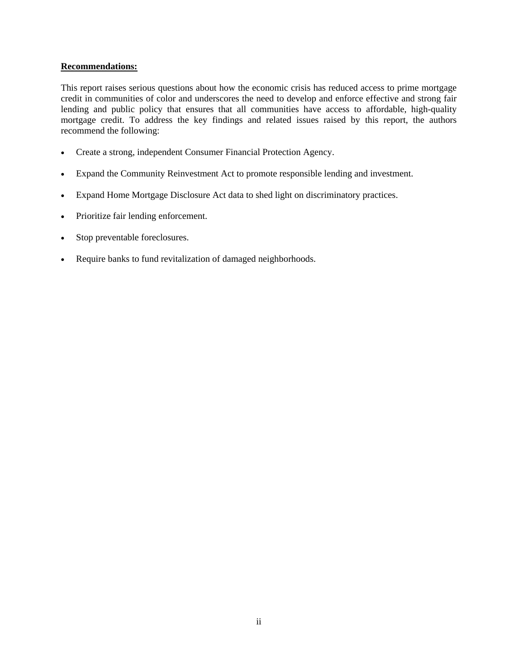# **Recommendations:**

This report raises serious questions about how the economic crisis has reduced access to prime mortgage credit in communities of color and underscores the need to develop and enforce effective and strong fair lending and public policy that ensures that all communities have access to affordable, high-quality mortgage credit. To address the key findings and related issues raised by this report, the authors recommend the following:

- Create a strong, independent Consumer Financial Protection Agency.
- Expand the Community Reinvestment Act to promote responsible lending and investment.
- Expand Home Mortgage Disclosure Act data to shed light on discriminatory practices.
- Prioritize fair lending enforcement.
- Stop preventable foreclosures.
- Require banks to fund revitalization of damaged neighborhoods.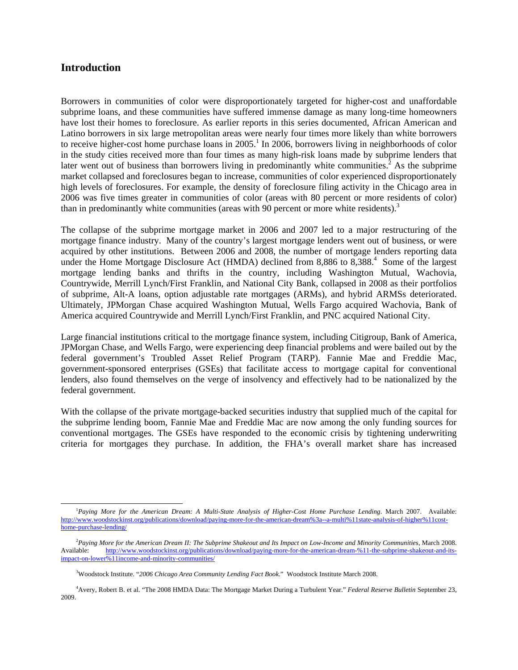# **Introduction**

l

Borrowers in communities of color were disproportionately targeted for higher-cost and unaffordable subprime loans, and these communities have suffered immense damage as many long-time homeowners have lost their homes to foreclosure. As earlier reports in this series documented, African American and Latino borrowers in six large metropolitan areas were nearly four times more likely than white borrowers to receive higher-cost home purchase loans in  $2005$ .<sup>1</sup> In 2006, borrowers living in neighborhoods of color in the study cities received more than four times as many high-risk loans made by subprime lenders that later went out of business than borrowers living in predominantly white communities.<sup>2</sup> As the subprime market collapsed and foreclosures began to increase, communities of color experienced disproportionately high levels of foreclosures. For example, the density of foreclosure filing activity in the Chicago area in 2006 was five times greater in communities of color (areas with 80 percent or more residents of color) than in predominantly white communities (areas with 90 percent or more white residents).<sup>3</sup>

The collapse of the subprime mortgage market in 2006 and 2007 led to a major restructuring of the mortgage finance industry. Many of the country's largest mortgage lenders went out of business, or were acquired by other institutions. Between 2006 and 2008, the number of mortgage lenders reporting data under the Home Mortgage Disclosure Act (HMDA) declined from 8,886 to 8,388.<sup>4</sup> Some of the largest mortgage lending banks and thrifts in the country, including Washington Mutual, Wachovia, Countrywide, Merrill Lynch/First Franklin, and National City Bank, collapsed in 2008 as their portfolios of subprime, Alt-A loans, option adjustable rate mortgages (ARMs), and hybrid ARMSs deteriorated. Ultimately, JPMorgan Chase acquired Washington Mutual, Wells Fargo acquired Wachovia, Bank of America acquired Countrywide and Merrill Lynch/First Franklin, and PNC acquired National City.

Large financial institutions critical to the mortgage finance system, including Citigroup, Bank of America, JPMorgan Chase, and Wells Fargo, were experiencing deep financial problems and were bailed out by the federal government's Troubled Asset Relief Program (TARP). Fannie Mae and Freddie Mac, government-sponsored enterprises (GSEs) that facilitate access to mortgage capital for conventional lenders, also found themselves on the verge of insolvency and effectively had to be nationalized by the federal government.

With the collapse of the private mortgage-backed securities industry that supplied much of the capital for the subprime lending boom, Fannie Mae and Freddie Mac are now among the only funding sources for conventional mortgages. The GSEs have responded to the economic crisis by tightening underwriting criteria for mortgages they purchase. In addition, the FHA's overall market share has increased

<sup>&</sup>lt;sup>1</sup>Paying More for the American Dream: A Multi-State Analysis of Higher-Cost Home Purchase Lending. March 2007. Available: http://www.woodstockinst.org/publications/download/paying-more-for-the-american-dream%3a--a-multi%11state-analysis-of-higher%11costhome-purchase-lending/

<sup>2</sup> *Paying More for the American Dream II: The Subprime Shakeout and Its Impact on Low-Income and Minority Communities*, March 2008. Available: http://www.woodstockinst.org/publications/download/paying-more-for-the-american-dream-%11-the-subprime-shakeout-and-itsimpact-on-lower%11income-and-minority-communities/

<sup>3</sup> Woodstock Institute. "*2006 Chicago Area Community Lending Fact Book*." Woodstock Institute March 2008.

<sup>4</sup> Avery, Robert B. et al. "The 2008 HMDA Data: The Mortgage Market During a Turbulent Year." *Federal Reserve Bulletin* September 23, 2009.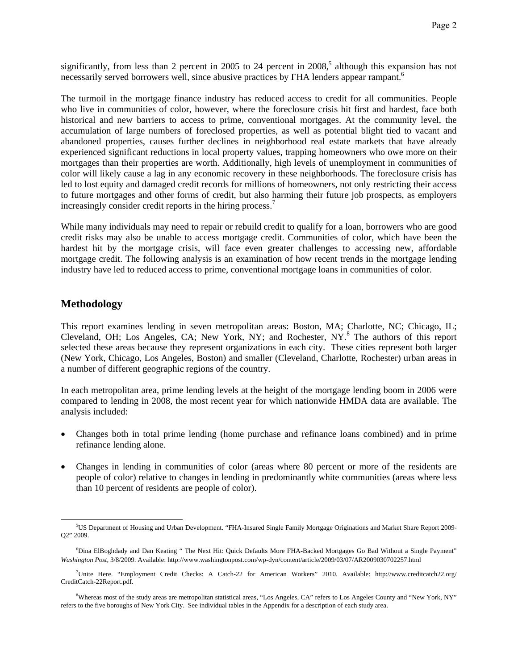significantly, from less than 2 percent in 2005 to 24 percent in  $2008$ <sup>5</sup>, although this expansion has not necessarily served borrowers well, since abusive practices by FHA lenders appear rampant.<sup>6</sup>

The turmoil in the mortgage finance industry has reduced access to credit for all communities. People who live in communities of color, however, where the foreclosure crisis hit first and hardest, face both historical and new barriers to access to prime, conventional mortgages. At the community level, the accumulation of large numbers of foreclosed properties, as well as potential blight tied to vacant and abandoned properties, causes further declines in neighborhood real estate markets that have already experienced significant reductions in local property values, trapping homeowners who owe more on their mortgages than their properties are worth. Additionally, high levels of unemployment in communities of color will likely cause a lag in any economic recovery in these neighborhoods. The foreclosure crisis has led to lost equity and damaged credit records for millions of homeowners, not only restricting their access to future mortgages and other forms of credit, but also harming their future job prospects, as employers increasingly consider credit reports in the hiring process.<sup>7</sup>

While many individuals may need to repair or rebuild credit to qualify for a loan, borrowers who are good credit risks may also be unable to access mortgage credit. Communities of color, which have been the hardest hit by the mortgage crisis, will face even greater challenges to accessing new, affordable mortgage credit. The following analysis is an examination of how recent trends in the mortgage lending industry have led to reduced access to prime, conventional mortgage loans in communities of color.

# **Methodology**

<u>.</u>

This report examines lending in seven metropolitan areas: Boston, MA; Charlotte, NC; Chicago, IL; Cleveland, OH; Los Angeles, CA; New York, NY; and Rochester, NY.<sup>8</sup> The authors of this report selected these areas because they represent organizations in each city. These cities represent both larger (New York, Chicago, Los Angeles, Boston) and smaller (Cleveland, Charlotte, Rochester) urban areas in a number of different geographic regions of the country.

In each metropolitan area, prime lending levels at the height of the mortgage lending boom in 2006 were compared to lending in 2008, the most recent year for which nationwide HMDA data are available. The analysis included:

- Changes both in total prime lending (home purchase and refinance loans combined) and in prime refinance lending alone.
- Changes in lending in communities of color (areas where 80 percent or more of the residents are people of color) relative to changes in lending in predominantly white communities (areas where less than 10 percent of residents are people of color).

<sup>&</sup>lt;sup>5</sup>US Department of Housing and Urban Development. "FHA-Insured Single Family Mortgage Originations and Market Share Report 2009-Q2" 2009.

<sup>6</sup> Dina ElBoghdady and Dan Keating " The Next Hit: Quick Defaults More FHA-Backed Mortgages Go Bad Without a Single Payment" *Washington Post*, 3/8/2009. Available: http://www.washingtonpost.com/wp-dyn/content/article/2009/03/07/AR2009030702257.html

<sup>7</sup> Unite Here. "Employment Credit Checks: A Catch-22 for American Workers" 2010. Available: http://www.creditcatch22.org/ CreditCatch-22Report.pdf.

<sup>&</sup>lt;sup>8</sup>Whereas most of the study areas are metropolitan statistical areas, "Los Angeles, CA" refers to Los Angeles County and "New York, NY" refers to the five boroughs of New York City. See individual tables in the Appendix for a description of each study area.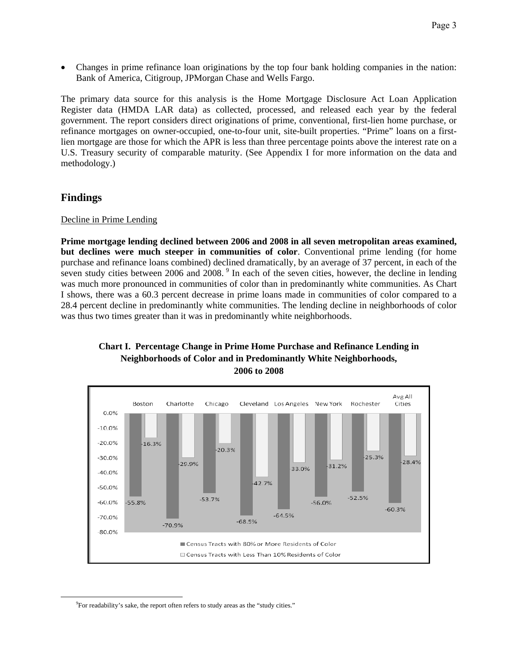• Changes in prime refinance loan originations by the top four bank holding companies in the nation: Bank of America, Citigroup, JPMorgan Chase and Wells Fargo.

The primary data source for this analysis is the Home Mortgage Disclosure Act Loan Application Register data (HMDA LAR data) as collected, processed, and released each year by the federal government. The report considers direct originations of prime, conventional, first-lien home purchase, or refinance mortgages on owner-occupied, one-to-four unit, site-built properties. "Prime" loans on a firstlien mortgage are those for which the APR is less than three percentage points above the interest rate on a U.S. Treasury security of comparable maturity. (See Appendix I for more information on the data and methodology.)

# **Findings**

<u>.</u>

# Decline in Prime Lending

**Prime mortgage lending declined between 2006 and 2008 in all seven metropolitan areas examined, but declines were much steeper in communities of color**. Conventional prime lending (for home purchase and refinance loans combined) declined dramatically, by an average of 37 percent, in each of the seven study cities between 2006 and 2008. <sup>9</sup> In each of the seven cities, however, the decline in lending was much more pronounced in communities of color than in predominantly white communities. As Chart I shows, there was a 60.3 percent decrease in prime loans made in communities of color compared to a 28.4 percent decline in predominantly white communities. The lending decline in neighborhoods of color was thus two times greater than it was in predominantly white neighborhoods.





<sup>&</sup>lt;sup>9</sup>For readability's sake, the report often refers to study areas as the "study cities."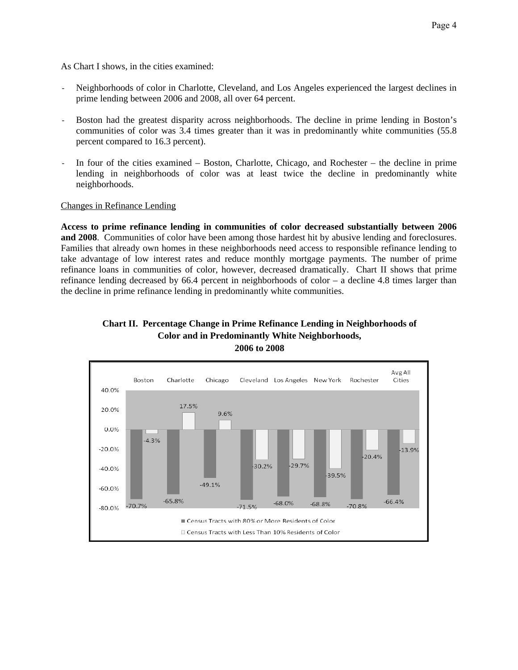As Chart I shows, in the cities examined:

- Neighborhoods of color in Charlotte, Cleveland, and Los Angeles experienced the largest declines in prime lending between 2006 and 2008, all over 64 percent.
- Boston had the greatest disparity across neighborhoods. The decline in prime lending in Boston's communities of color was 3.4 times greater than it was in predominantly white communities (55.8 percent compared to 16.3 percent).
- In four of the cities examined Boston, Charlotte, Chicago, and Rochester the decline in prime lending in neighborhoods of color was at least twice the decline in predominantly white neighborhoods.

# Changes in Refinance Lending

**Access to prime refinance lending in communities of color decreased substantially between 2006 and 2008**. Communities of color have been among those hardest hit by abusive lending and foreclosures. Families that already own homes in these neighborhoods need access to responsible refinance lending to take advantage of low interest rates and reduce monthly mortgage payments. The number of prime refinance loans in communities of color, however, decreased dramatically. Chart II shows that prime refinance lending decreased by 66.4 percent in neighborhoods of color – a decline 4.8 times larger than the decline in prime refinance lending in predominantly white communities.



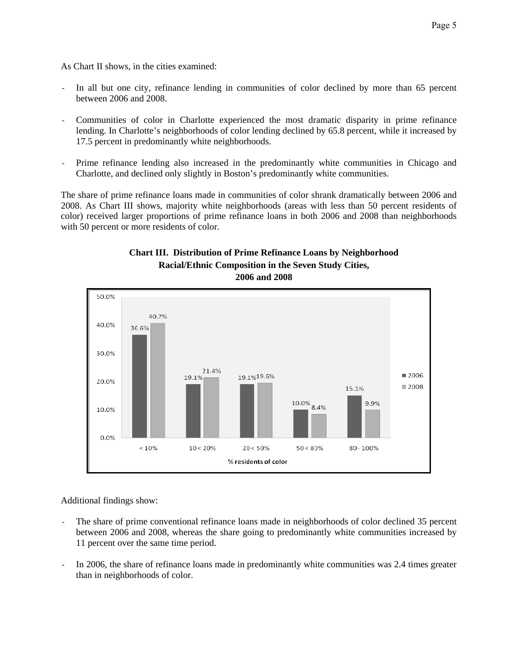As Chart II shows, in the cities examined:

- In all but one city, refinance lending in communities of color declined by more than 65 percent between 2006 and 2008.
- Communities of color in Charlotte experienced the most dramatic disparity in prime refinance lending. In Charlotte's neighborhoods of color lending declined by 65.8 percent, while it increased by 17.5 percent in predominantly white neighborhoods.
- Prime refinance lending also increased in the predominantly white communities in Chicago and Charlotte, and declined only slightly in Boston's predominantly white communities.

The share of prime refinance loans made in communities of color shrank dramatically between 2006 and 2008. As Chart III shows, majority white neighborhoods (areas with less than 50 percent residents of color) received larger proportions of prime refinance loans in both 2006 and 2008 than neighborhoods with 50 percent or more residents of color.





Additional findings show:

- The share of prime conventional refinance loans made in neighborhoods of color declined 35 percent between 2006 and 2008, whereas the share going to predominantly white communities increased by 11 percent over the same time period.
- In 2006, the share of refinance loans made in predominantly white communities was 2.4 times greater than in neighborhoods of color.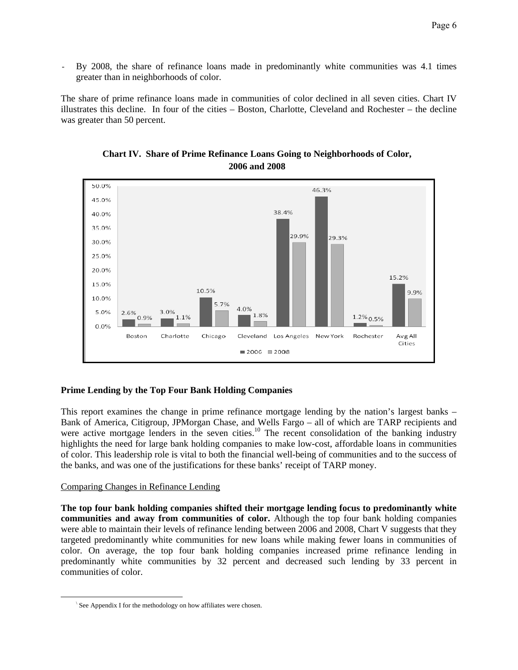By 2008, the share of refinance loans made in predominantly white communities was 4.1 times greater than in neighborhoods of color.

The share of prime refinance loans made in communities of color declined in all seven cities. Chart IV illustrates this decline. In four of the cities – Boston, Charlotte, Cleveland and Rochester – the decline was greater than 50 percent.





# **Prime Lending by the Top Four Bank Holding Companies**

This report examines the change in prime refinance mortgage lending by the nation's largest banks – Bank of America, Citigroup, JPMorgan Chase, and Wells Fargo – all of which are TARP recipients and were active mortgage lenders in the seven cities.<sup>10</sup> The recent consolidation of the banking industry highlights the need for large bank holding companies to make low-cost, affordable loans in communities of color. This leadership role is vital to both the financial well-being of communities and to the success of the banks, and was one of the justifications for these banks' receipt of TARP money.

# Comparing Changes in Refinance Lending

<u>.</u>

**The top four bank holding companies shifted their mortgage lending focus to predominantly white communities and away from communities of color.** Although the top four bank holding companies were able to maintain their levels of refinance lending between 2006 and 2008, Chart V suggests that they targeted predominantly white communities for new loans while making fewer loans in communities of color. On average, the top four bank holding companies increased prime refinance lending in predominantly white communities by 32 percent and decreased such lending by 33 percent in communities of color.

<sup>\</sup> See Appendix I for the methodology on how affiliates were chosen.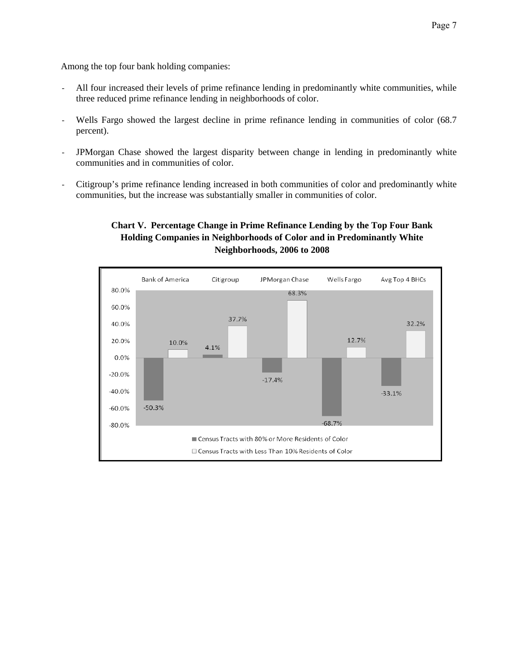Among the top four bank holding companies:

- All four increased their levels of prime refinance lending in predominantly white communities, while three reduced prime refinance lending in neighborhoods of color.
- Wells Fargo showed the largest decline in prime refinance lending in communities of color (68.7) percent).
- JPMorgan Chase showed the largest disparity between change in lending in predominantly white communities and in communities of color.
- Citigroup's prime refinance lending increased in both communities of color and predominantly white communities, but the increase was substantially smaller in communities of color.

# **Chart V. Percentage Change in Prime Refinance Lending by the Top Four Bank Holding Companies in Neighborhoods of Color and in Predominantly White Neighborhoods, 2006 to 2008**

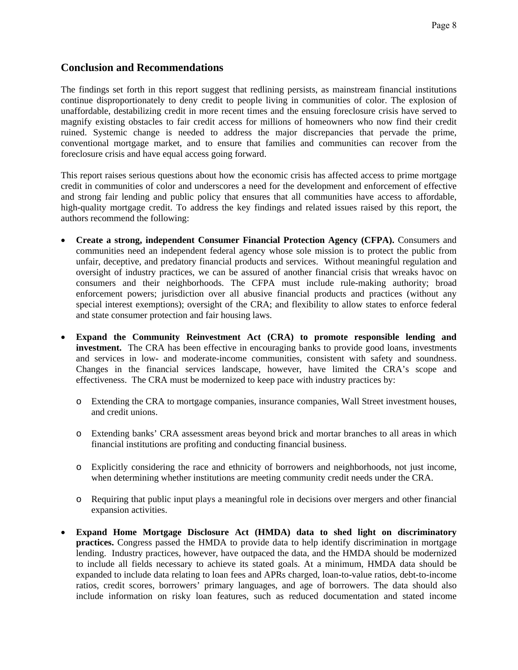# **Conclusion and Recommendations**

The findings set forth in this report suggest that redlining persists, as mainstream financial institutions continue disproportionately to deny credit to people living in communities of color. The explosion of unaffordable, destabilizing credit in more recent times and the ensuing foreclosure crisis have served to magnify existing obstacles to fair credit access for millions of homeowners who now find their credit ruined. Systemic change is needed to address the major discrepancies that pervade the prime, conventional mortgage market, and to ensure that families and communities can recover from the foreclosure crisis and have equal access going forward.

This report raises serious questions about how the economic crisis has affected access to prime mortgage credit in communities of color and underscores a need for the development and enforcement of effective and strong fair lending and public policy that ensures that all communities have access to affordable, high-quality mortgage credit. To address the key findings and related issues raised by this report, the authors recommend the following:

- **Create a strong, independent Consumer Financial Protection Agency (CFPA).** Consumers and communities need an independent federal agency whose sole mission is to protect the public from unfair, deceptive, and predatory financial products and services. Without meaningful regulation and oversight of industry practices, we can be assured of another financial crisis that wreaks havoc on consumers and their neighborhoods. The CFPA must include rule-making authority; broad enforcement powers; jurisdiction over all abusive financial products and practices (without any special interest exemptions); oversight of the CRA; and flexibility to allow states to enforce federal and state consumer protection and fair housing laws.
- **Expand the Community Reinvestment Act (CRA) to promote responsible lending and investment.** The CRA has been effective in encouraging banks to provide good loans, investments and services in low- and moderate-income communities, consistent with safety and soundness. Changes in the financial services landscape, however, have limited the CRA's scope and effectiveness. The CRA must be modernized to keep pace with industry practices by:
	- o Extending the CRA to mortgage companies, insurance companies, Wall Street investment houses, and credit unions.
	- o Extending banks' CRA assessment areas beyond brick and mortar branches to all areas in which financial institutions are profiting and conducting financial business.
	- o Explicitly considering the race and ethnicity of borrowers and neighborhoods, not just income, when determining whether institutions are meeting community credit needs under the CRA.
	- o Requiring that public input plays a meaningful role in decisions over mergers and other financial expansion activities.
- **Expand Home Mortgage Disclosure Act (HMDA) data to shed light on discriminatory practices.** Congress passed the HMDA to provide data to help identify discrimination in mortgage lending. Industry practices, however, have outpaced the data, and the HMDA should be modernized to include all fields necessary to achieve its stated goals. At a minimum, HMDA data should be expanded to include data relating to loan fees and APRs charged, loan-to-value ratios, debt-to-income ratios, credit scores, borrowers' primary languages, and age of borrowers. The data should also include information on risky loan features, such as reduced documentation and stated income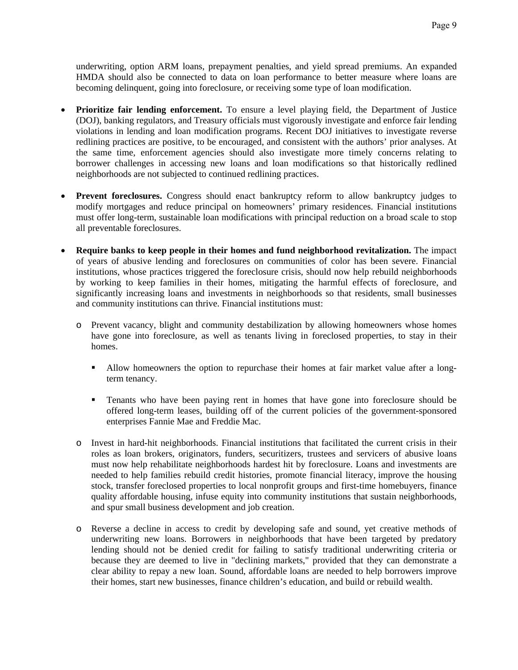underwriting, option ARM loans, prepayment penalties, and yield spread premiums. An expanded HMDA should also be connected to data on loan performance to better measure where loans are becoming delinquent, going into foreclosure, or receiving some type of loan modification.

- **Prioritize fair lending enforcement.** To ensure a level playing field, the Department of Justice (DOJ), banking regulators, and Treasury officials must vigorously investigate and enforce fair lending violations in lending and loan modification programs. Recent DOJ initiatives to investigate reverse redlining practices are positive, to be encouraged, and consistent with the authors' prior analyses. At the same time, enforcement agencies should also investigate more timely concerns relating to borrower challenges in accessing new loans and loan modifications so that historically redlined neighborhoods are not subjected to continued redlining practices.
- **Prevent foreclosures.** Congress should enact bankruptcy reform to allow bankruptcy judges to modify mortgages and reduce principal on homeowners' primary residences. Financial institutions must offer long-term, sustainable loan modifications with principal reduction on a broad scale to stop all preventable foreclosures.
- **Require banks to keep people in their homes and fund neighborhood revitalization.** The impact of years of abusive lending and foreclosures on communities of color has been severe. Financial institutions, whose practices triggered the foreclosure crisis, should now help rebuild neighborhoods by working to keep families in their homes, mitigating the harmful effects of foreclosure, and significantly increasing loans and investments in neighborhoods so that residents, small businesses and community institutions can thrive. Financial institutions must:
	- o Prevent vacancy, blight and community destabilization by allowing homeowners whose homes have gone into foreclosure, as well as tenants living in foreclosed properties, to stay in their homes.
		- Allow homeowners the option to repurchase their homes at fair market value after a longterm tenancy.
		- Tenants who have been paying rent in homes that have gone into foreclosure should be offered long-term leases, building off of the current policies of the government-sponsored enterprises Fannie Mae and Freddie Mac.
	- o Invest in hard-hit neighborhoods. Financial institutions that facilitated the current crisis in their roles as loan brokers, originators, funders, securitizers, trustees and servicers of abusive loans must now help rehabilitate neighborhoods hardest hit by foreclosure. Loans and investments are needed to help families rebuild credit histories, promote financial literacy, improve the housing stock, transfer foreclosed properties to local nonprofit groups and first-time homebuyers, finance quality affordable housing, infuse equity into community institutions that sustain neighborhoods, and spur small business development and job creation.
	- o Reverse a decline in access to credit by developing safe and sound, yet creative methods of underwriting new loans. Borrowers in neighborhoods that have been targeted by predatory lending should not be denied credit for failing to satisfy traditional underwriting criteria or because they are deemed to live in "declining markets," provided that they can demonstrate a clear ability to repay a new loan. Sound, affordable loans are needed to help borrowers improve their homes, start new businesses, finance children's education, and build or rebuild wealth.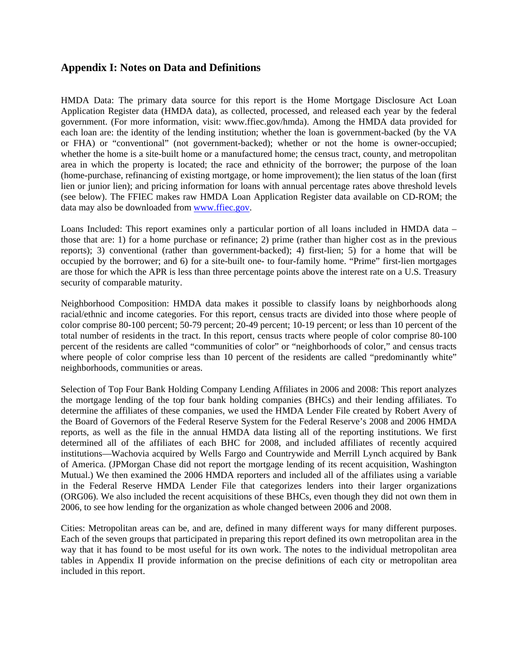# **Appendix I: Notes on Data and Definitions**

HMDA Data: The primary data source for this report is the Home Mortgage Disclosure Act Loan Application Register data (HMDA data), as collected, processed, and released each year by the federal government. (For more information, visit: www.ffiec.gov/hmda). Among the HMDA data provided for each loan are: the identity of the lending institution; whether the loan is government-backed (by the VA or FHA) or "conventional" (not government-backed); whether or not the home is owner-occupied; whether the home is a site-built home or a manufactured home; the census tract, county, and metropolitan area in which the property is located; the race and ethnicity of the borrower; the purpose of the loan (home-purchase, refinancing of existing mortgage, or home improvement); the lien status of the loan (first lien or junior lien); and pricing information for loans with annual percentage rates above threshold levels (see below). The FFIEC makes raw HMDA Loan Application Register data available on CD-ROM; the data may also be downloaded from www.ffiec.gov.

Loans Included: This report examines only a particular portion of all loans included in HMDA data – those that are: 1) for a home purchase or refinance; 2) prime (rather than higher cost as in the previous reports); 3) conventional (rather than government-backed); 4) first-lien; 5) for a home that will be occupied by the borrower; and 6) for a site-built one- to four-family home. "Prime" first-lien mortgages are those for which the APR is less than three percentage points above the interest rate on a U.S. Treasury security of comparable maturity.

Neighborhood Composition: HMDA data makes it possible to classify loans by neighborhoods along racial/ethnic and income categories. For this report, census tracts are divided into those where people of color comprise 80-100 percent; 50-79 percent; 20-49 percent; 10-19 percent; or less than 10 percent of the total number of residents in the tract. In this report, census tracts where people of color comprise 80-100 percent of the residents are called "communities of color" or "neighborhoods of color," and census tracts where people of color comprise less than 10 percent of the residents are called "predominantly white" neighborhoods, communities or areas.

Selection of Top Four Bank Holding Company Lending Affiliates in 2006 and 2008: This report analyzes the mortgage lending of the top four bank holding companies (BHCs) and their lending affiliates. To determine the affiliates of these companies, we used the HMDA Lender File created by Robert Avery of the Board of Governors of the Federal Reserve System for the Federal Reserve's 2008 and 2006 HMDA reports, as well as the file in the annual HMDA data listing all of the reporting institutions. We first determined all of the affiliates of each BHC for 2008, and included affiliates of recently acquired institutions—Wachovia acquired by Wells Fargo and Countrywide and Merrill Lynch acquired by Bank of America. (JPMorgan Chase did not report the mortgage lending of its recent acquisition, Washington Mutual.) We then examined the 2006 HMDA reporters and included all of the affiliates using a variable in the Federal Reserve HMDA Lender File that categorizes lenders into their larger organizations (ORG06). We also included the recent acquisitions of these BHCs, even though they did not own them in 2006, to see how lending for the organization as whole changed between 2006 and 2008.

Cities: Metropolitan areas can be, and are, defined in many different ways for many different purposes. Each of the seven groups that participated in preparing this report defined its own metropolitan area in the way that it has found to be most useful for its own work. The notes to the individual metropolitan area tables in Appendix II provide information on the precise definitions of each city or metropolitan area included in this report.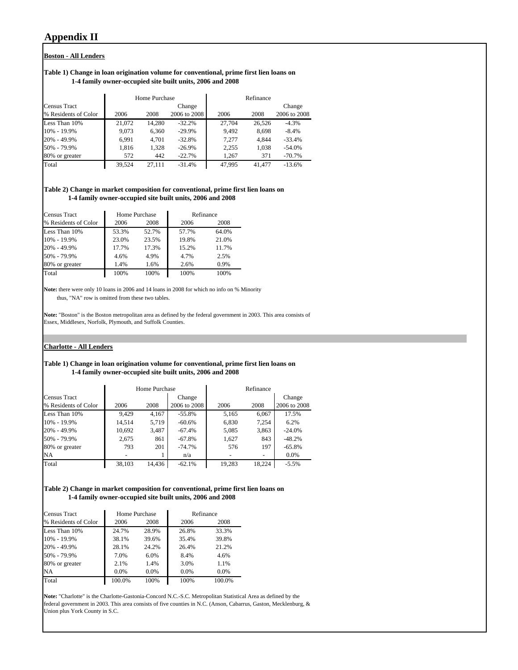# **Appendix II**

#### **Boston - All Lenders**

#### **Table 1) Change in loan origination volume for conventional, prime first lien loans on 1-4 family owner-occupied site built units, 2006 and 2008**

|                      |        | Home Purchase |              |        | Refinance |              |
|----------------------|--------|---------------|--------------|--------|-----------|--------------|
| <b>Census Tract</b>  |        |               | Change       |        |           | Change       |
| % Residents of Color | 2006   | 2008          | 2006 to 2008 | 2006   | 2008      | 2006 to 2008 |
| Less Than 10%        | 21.072 | 14.280        | $-32.2%$     | 27,704 | 26.526    | $-4.3%$      |
| 10% - 19.9%          | 9,073  | 6,360         | $-29.9%$     | 9.492  | 8,698     | $-8.4%$      |
| 20% - 49.9%          | 6.991  | 4.701         | $-32.8%$     | 7.277  | 4.844     | $-33.4%$     |
| 50% - 79.9%          | 1,816  | 1,328         | $-26.9%$     | 2,255  | 1,038     | $-54.0%$     |
| 80% or greater       | 572    | 442           | $-22.7%$     | 1.267  | 371       | $-70.7%$     |
| Total                | 39.524 | 27.111        | $-31.4%$     | 47.995 | 41.477    | $-13.6%$     |

#### **Table 2) Change in market composition for conventional, prime first lien loans on 1-4 family owner-occupied site built units, 2006 and 2008**

| <b>Census Tract</b>  | Home Purchase |       | Refinance |       |
|----------------------|---------------|-------|-----------|-------|
| % Residents of Color | 2006          | 2008  | 2006      | 2008  |
| Less Than 10%        | 53.3%         | 52.7% | 57.7%     | 64.0% |
| 10% - 19.9%          | 23.0%         | 23.5% | 19.8%     | 21.0% |
| 20% - 49.9%          | 17.7%         | 17.3% | 15.2%     | 11.7% |
| 50% - 79.9%          | 4.6%          | 4.9%  | 4.7%      | 2.5%  |
| 80% or greater       | 1.4%          | 1.6%  | 2.6%      | 0.9%  |
| Total                | 100%          | 100%  | 100%      | 100%  |

**Note:** there were only 10 loans in 2006 and 14 loans in 2008 for which no info on % Minority thus, "NA" row is omitted from these two tables.

**Note:** "Boston" is the Boston metropolitan area as defined by the federal government in 2003. This area consists of Essex, Middlesex, Norfolk, Plymouth, and Suffolk Counties.

#### **Charlotte - All Lenders**

#### **Table 1) Change in loan origination volume for conventional, prime first lien loans on 1-4 family owner-occupied site built units, 2006 and 2008**

|                      |        | Home Purchase |              |        | Refinance |              |
|----------------------|--------|---------------|--------------|--------|-----------|--------------|
| Census Tract         |        |               | Change       |        |           | Change       |
| % Residents of Color | 2006   | 2008          | 2006 to 2008 | 2006   | 2008      | 2006 to 2008 |
| Less Than 10%        | 9.429  | 4,167         | $-55.8%$     | 5,165  | 6,067     | 17.5%        |
| 10% - 19.9%          | 14.514 | 5,719         | $-60.6%$     | 6,830  | 7.254     | 6.2%         |
| 20% - 49.9%          | 10,692 | 3,487         | $-67.4%$     | 5,085  | 3,863     | $-24.0%$     |
| 50% - 79.9%          | 2,675  | 861           | $-67.8%$     | 1,627  | 843       | $-48.2%$     |
| 80% or greater       | 793    | 201           | $-74.7%$     | 576    | 197       | $-65.8%$     |
| <b>NA</b>            |        |               | n/a          | -      |           | $0.0\%$      |
| Total                | 38,103 | 14,436        | $-62.1%$     | 19,283 | 18.224    | $-5.5%$      |

#### **Table 2) Change in market composition for conventional, prime first lien loans on 1-4 family owner-occupied site built units, 2006 and 2008**

| <b>Census Tract</b>  | Home Purchase |       | Refinance |         |
|----------------------|---------------|-------|-----------|---------|
| % Residents of Color | 2006          | 2008  | 2006      | 2008    |
| Less Than 10%        | 24.7%         | 28.9% | 26.8%     | 33.3%   |
| 10% - 19.9%          | 38.1%         | 39.6% | 35.4%     | 39.8%   |
| 20% - 49.9%          | 28.1%         | 24.2% | 26.4%     | 21.2%   |
| 50% - 79.9%          | 7.0%          | 6.0%  | 8.4%      | 4.6%    |
| 80% or greater       | 2.1%          | 1.4%  | 3.0%      | 1.1%    |
| <b>NA</b>            | $0.0\%$       | 0.0%  | 0.0%      | $0.0\%$ |
| Total                | 100.0%        | 100%  | 100%      | 100.0%  |

**Note:** "Charlotte" is the Charlotte-Gastonia-Concord N.C.-S.C. Metropolitan Statistical Area as defined by the federal government in 2003. This area consists of five counties in N.C. (Anson, Cabarrus, Gaston, Mecklenburg, & Union plus York County in S.C.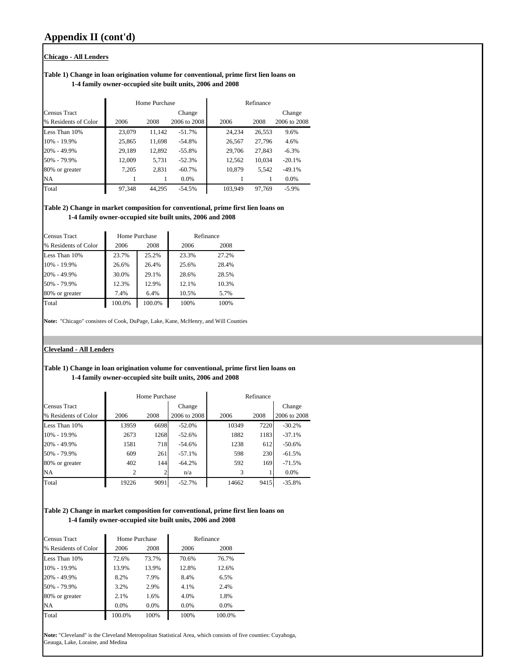#### **Chicago - All Lenders**

#### **Table 1) Change in loan origination volume for conventional, prime first lien loans on 1-4 family owner-occupied site built units, 2006 and 2008**

|                      |        | Home Purchase |              |         | Refinance |              |
|----------------------|--------|---------------|--------------|---------|-----------|--------------|
| <b>Census Tract</b>  |        |               | Change       |         |           | Change       |
| % Residents of Color | 2006   | 2008          | 2006 to 2008 | 2006    | 2008      | 2006 to 2008 |
| Less Than 10%        | 23,079 | 11,142        | $-51.7%$     | 24.234  | 26,553    | 9.6%         |
| 10% - 19.9%          | 25,865 | 11,698        | $-54.8%$     | 26,567  | 27,796    | 4.6%         |
| 20% - 49.9%          | 29,189 | 12.892        | $-55.8%$     | 29,706  | 27,843    | $-6.3%$      |
| 50% - 79.9%          | 12,009 | 5,731         | $-52.3%$     | 12,562  | 10,034    | $-20.1%$     |
| 80% or greater       | 7,205  | 2,831         | $-60.7\%$    | 10,879  | 5,542     | $-49.1%$     |
| <b>NA</b>            |        |               | 0.0%         |         |           | $0.0\%$      |
| Total                | 97,348 | 44.295        | $-54.5%$     | 103.949 | 97.769    | $-5.9%$      |

#### **Table 2) Change in market composition for conventional, prime first lien loans on 1-4 family owner-occupied site built units, 2006 and 2008**

| Census Tract         |        | Home Purchase |       | Refinance |
|----------------------|--------|---------------|-------|-----------|
| % Residents of Color | 2006   | 2008          | 2006  | 2008      |
| Less Than 10%        | 23.7%  | 25.2%         | 23.3% | 27.2%     |
| 10% - 19.9%          | 26.6%  | 26.4%         | 25.6% | 28.4%     |
| 20% - 49.9%          | 30.0%  | 29.1%         | 28.6% | 28.5%     |
| 50% - 79.9%          | 12.3%  | 12.9%         | 12.1% | 10.3%     |
| 80% or greater       | 7.4%   | 6.4%          | 10.5% | 5.7%      |
| Total                | 100.0% | 100.0%        | 100%  | 100%      |

**Note:** "Chicago" consistes of Cook, DuPage, Lake, Kane, McHenry, and Will Counties

## **Cleveland - All Lenders**

#### **Table 1) Change in loan origination volume for conventional, prime first lien loans on 1-4 family owner-occupied site built units, 2006 and 2008**

|                      |       | Home Purchase |              |       | Refinance |              |
|----------------------|-------|---------------|--------------|-------|-----------|--------------|
| Census Tract         |       |               | Change       |       |           | Change       |
| % Residents of Color | 2006  | 2008          | 2006 to 2008 | 2006  | 2008      | 2006 to 2008 |
| Less Than 10%        | 13959 | 6698          | $-52.0%$     | 10349 | 7220      | $-30.2%$     |
| 10% - 19.9%          | 2673  | 1268          | $-52.6%$     | 1882  | 1183      | $-37.1%$     |
| 20% - 49.9%          | 1581  | 718           | $-54.6%$     | 1238  | 612       | $-50.6%$     |
| 50% - 79.9%          | 609   | 261           | $-57.1%$     | 598   | 230       | $-61.5%$     |
| 80% or greater       | 402   | 144           | $-64.2%$     | 592   | 169       | $-71.5%$     |
| NA                   | 2     |               | n/a          | 3     |           | 0.0%         |
| Total                | 19226 | 9091          | $-52.7%$     | 14662 | 9415      | $-35.8%$     |

#### **Table 2) Change in market composition for conventional, prime first lien loans on 1-4 family owner-occupied site built units, 2006 and 2008**

| <b>Census Tract</b>  | Home Purchase |       | Refinance |        |
|----------------------|---------------|-------|-----------|--------|
| % Residents of Color | 2006          | 2008  | 2006      | 2008   |
| Less Than 10%        | 72.6%         | 73.7% | 70.6%     | 76.7%  |
| 10% - 19.9%          | 13.9%         | 13.9% | 12.8%     | 12.6%  |
| 20% - 49.9%          | 8.2%          | 7.9%  | 8.4%      | 6.5%   |
| 50% - 79.9%          | 3.2%          | 2.9%  | 4.1%      | 2.4%   |
| 80% or greater       | 2.1%          | 1.6%  | 4.0%      | 1.8%   |
| NA                   | 0.0%          | 0.0%  | 0.0%      | 0.0%   |
| Total                | 100.0%        | 100%  | 100%      | 100.0% |

**Note:** "Cleveland" is the Cleveland Metropolitan Statistical Area, which consists of five counties: Cuyahoga, Geauga, Lake, Loraine, and Medina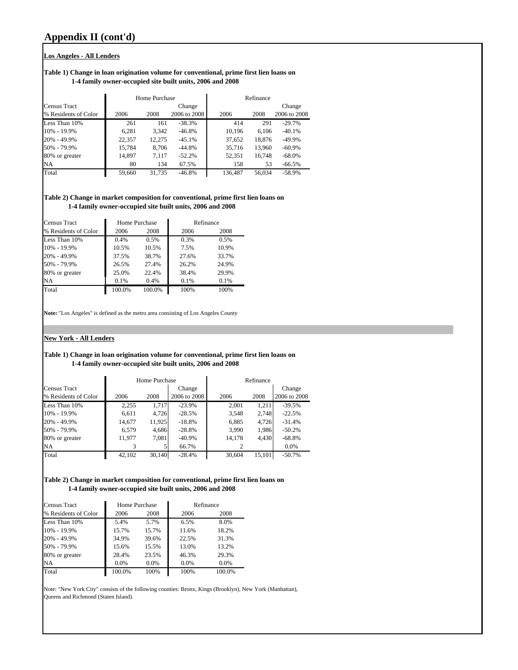#### **Los Angeles - All Lenders**

#### **Table 1) Change in loan origination volume for conventional, prime first lien loans on 1-4 family owner-occupied site built units, 2006 and 2008**

|                      |        | Home Purchase |              |         | Refinance |              |
|----------------------|--------|---------------|--------------|---------|-----------|--------------|
| <b>Census Tract</b>  |        |               | Change       |         |           | Change       |
| % Residents of Color | 2006   | 2008          | 2006 to 2008 | 2006    | 2008      | 2006 to 2008 |
| Less Than 10%        | 261    | 161           | $-38.3%$     | 414     | 291       | $-29.7%$     |
| 10% - 19.9%          | 6,281  | 3.342         | $-46.8%$     | 10,196  | 6.106     | $-40.1%$     |
| 20% - 49.9%          | 22,357 | 12.275        | $-45.1%$     | 37,652  | 18,876    | $-49.9%$     |
| 50% - 79.9%          | 15,784 | 8.706         | $-44.8%$     | 35,716  | 13,960    | $-60.9\%$    |
| 80% or greater       | 14,897 | 7.117         | $-52.2%$     | 52,351  | 16,748    | $-68.0\%$    |
| <b>NA</b>            | 80     | 134           | 67.5%        | 158     | 53        | $-66.5\%$    |
| Total                | 59,660 | 31,735        | $-46.8%$     | 136.487 | 56,034    | $-58.9%$     |

**Table 2) Change in market composition for conventional, prime first lien loans on 1-4 family owner-occupied site built units, 2006 and 2008**

| <b>Census Tract</b>  |        | Home Purchase |       | Refinance |
|----------------------|--------|---------------|-------|-----------|
| % Residents of Color | 2006   | 2008          | 2006  | 2008      |
| Less Than 10%        | 0.4%   | 0.5%          | 0.3%  | 0.5%      |
| 10% - 19.9%          | 10.5%  | 10.5%         | 7.5%  | 10.9%     |
| 20% - 49.9%          | 37.5%  | 38.7%         | 27.6% | 33.7%     |
| 50% - 79.9%          | 26.5%  | 27.4%         | 26.2% | 24.9%     |
| 80% or greater       | 25.0%  | 22.4%         | 38.4% | 29.9%     |
| <b>NA</b>            | 0.1%   | 0.4%          | 0.1%  | 0.1%      |
| Total                | 100.0% | 100.0%        | 100%  | 100%      |

**Note:** "Los Angeles" is defined as the metro area consisting of Los Angeles County

#### **New York - All Lenders**

#### **Table 1) Change in loan origination volume for conventional, prime first lien loans on 1-4 family owner-occupied site built units, 2006 and 2008**

|                      |        | Home Purchase |              |        | Refinance |              |
|----------------------|--------|---------------|--------------|--------|-----------|--------------|
| <b>Census Tract</b>  |        |               | Change       |        |           | Change       |
| % Residents of Color | 2006   | 2008          | 2006 to 2008 | 2006   | 2008      | 2006 to 2008 |
| Less Than 10%        | 2,255  | 1.717         | $-23.9%$     | 2,001  | 1.211     | $-39.5%$     |
| 10% - 19.9%          | 6,611  | 4.726         | $-28.5%$     | 3,548  | 2.748     | $-22.5%$     |
| 20% - 49.9%          | 14,677 | 11,925        | $-18.8%$     | 6,885  | 4,726     | $-31.4%$     |
| 50% - 79.9%          | 6.579  | 4.686         | $-28.8%$     | 3,990  | 1.986     | $-50.2%$     |
| 80% or greater       | 11.977 | 7,081         | $-40.9\%$    | 14,178 | 4,430     | $-68.8%$     |
| <b>NA</b>            |        |               | 66.7%        |        |           | 0.0%         |
| Total                | 42.102 | 30.140        | $-28.4%$     | 30.604 | 15.101    | $-50.7\%$    |

#### **Table 2) Change in market composition for conventional, prime first lien loans on 1-4 family owner-occupied site built units, 2006 and 2008**

| <b>Census Tract</b>  |        | Home Purchase | Refinance |        |  |
|----------------------|--------|---------------|-----------|--------|--|
| % Residents of Color | 2006   | 2008          | 2006      | 2008   |  |
| Less Than 10%        | 5.4%   | 5.7%          | 6.5%      | 8.0%   |  |
| 10% - 19.9%          | 15.7%  | 15.7%         | 11.6%     | 18.2%  |  |
| 20% - 49.9%          | 34.9%  | 39.6%         | 22.5%     | 31.3%  |  |
| 50% - 79.9%          | 15.6%  | 15.5%         | 13.0%     | 13.2%  |  |
| 80% or greater       | 28.4%  | 23.5%         | 46.3%     | 29.3%  |  |
| NA                   | 0.0%   | 0.0%          | 0.0%      | 0.0%   |  |
| Total                | 100.0% | 100%          | 100%      | 100.0% |  |

Note: "New York City" consists of the following counties: Bronx, Kings (Brooklyn), New York (Manhattan), Queens and Richmond (Staten Island).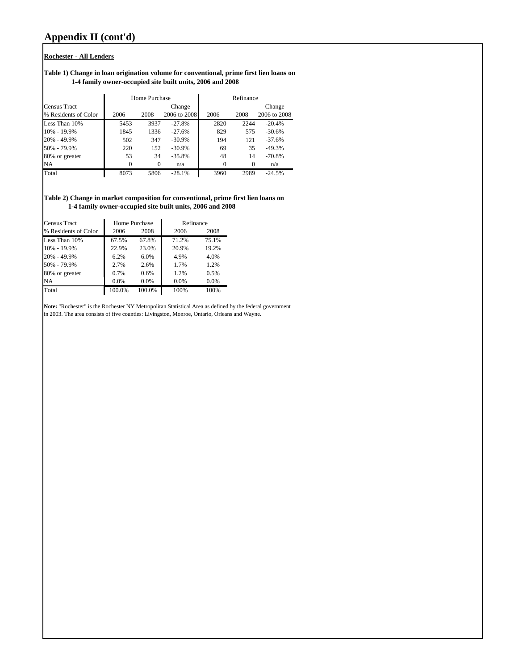#### **Rochester - All Lenders**

#### **Table 1) Change in loan origination volume for conventional, prime first lien loans on 1-4 family owner-occupied site built units, 2006 and 2008**

|                      |          | Home Purchase |              | Refinance |          |              |  |  |  |
|----------------------|----------|---------------|--------------|-----------|----------|--------------|--|--|--|
| Census Tract         |          |               | Change       |           |          | Change       |  |  |  |
| % Residents of Color | 2006     | 2008          | 2006 to 2008 | 2006      | 2008     | 2006 to 2008 |  |  |  |
| Less Than 10%        | 5453     | 3937          | $-27.8%$     | 2820      | 2244     | $-20.4%$     |  |  |  |
| 10% - 19.9%          | 1845     | 1336          | $-27.6%$     | 829       | 575      | $-30.6%$     |  |  |  |
| 20% - 49.9%          | 502      | 347           | $-30.9\%$    | 194       | 121      | $-37.6%$     |  |  |  |
| 50% - 79.9%          | 220      | 152           | $-30.9\%$    | 69        | 35       | $-49.3%$     |  |  |  |
| 80% or greater       | 53       | 34            | $-35.8%$     | 48        | 14       | $-70.8%$     |  |  |  |
| NA                   | $\Omega$ | $\Omega$      | n/a          | 0         | $\Omega$ | n/a          |  |  |  |
| Total                | 8073     | 5806          | $-28.1%$     | 3960      | 2989     | $-24.5%$     |  |  |  |

**Table 2) Change in market composition for conventional, prime first lien loans on 1-4 family owner-occupied site built units, 2006 and 2008**

| <b>Census Tract</b>  |        | Home Purchase | Refinance |       |  |  |  |
|----------------------|--------|---------------|-----------|-------|--|--|--|
| % Residents of Color | 2006   | 2008          | 2006      | 2008  |  |  |  |
| Less Than 10%        | 67.5%  | 67.8%         | 71.2%     | 75.1% |  |  |  |
| 10% - 19.9%          | 22.9%  | 23.0%         | 20.9%     | 19.2% |  |  |  |
| 20% - 49.9%          | 6.2%   | 6.0%          | 4.9%      | 4.0%  |  |  |  |
| 50% - 79.9%          | 2.7%   | 2.6%          | 1.7%      | 1.2%  |  |  |  |
| 80% or greater       | 0.7%   | 0.6%          | 1.2%      | 0.5%  |  |  |  |
| <b>NA</b>            | 0.0%   | 0.0%          | 0.0%      | 0.0%  |  |  |  |
| Total                | 100.0% | 100.0%        | 100%      | 100%  |  |  |  |

**Note:** "Rochester" is the Rochester NY Metropolitan Statistical Area as defined by the federal government in 2003. The area consists of five counties: Livingston, Monroe, Ontario, Orleans and Wayne.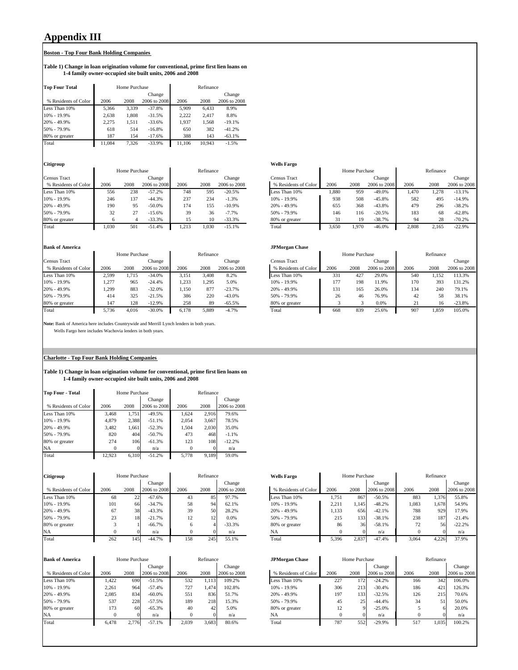# **Appendix III**

#### **Boston - Top Four Bank Holding Companies**

#### **Table 1) Change in loan origination volume for conventional, prime first lien loans on 1-4 family owner-occupied site built units, 2006 and 2008**

| <b>Top Four Total</b> |        | Home Purchase |              | Refinance |        |              |  |  |  |
|-----------------------|--------|---------------|--------------|-----------|--------|--------------|--|--|--|
|                       |        |               | Change       |           |        | Change       |  |  |  |
| % Residents of Color  | 2006   | 2008          | 2006 to 2008 | 2006      | 2008   | 2006 to 2008 |  |  |  |
| Less Than 10%         | 5.366  | 3.339         | $-37.8%$     | 5.909     | 6.433  | 8.9%         |  |  |  |
| 10% - 19.9%           | 2.638  | 1.808         | $-31.5%$     | 2.222     | 2.417  | 8.8%         |  |  |  |
| 20% - 49.9%           | 2.275  | 1.511         | $-33.6%$     | 1.937     | 1.568  | $-19.1%$     |  |  |  |
| 50% - 79.9%           | 618    | 514           | $-16.8%$     | 650       | 382    | $-41.2%$     |  |  |  |
| 80% or greater        | 187    | 154           | $-17.6%$     | 388       | 143    | $-63.1%$     |  |  |  |
| Total                 | 11.084 | 7.326         | $-33.9%$     | 11.106    | 10.943 | $-1.5%$      |  |  |  |

|                      |       | Home Purchase |              | Refinance |       |              |                      | Home Purchase |       |              | Refinance |       |            |
|----------------------|-------|---------------|--------------|-----------|-------|--------------|----------------------|---------------|-------|--------------|-----------|-------|------------|
| <b>Census Tract</b>  |       |               | Change       |           |       | Change       | <b>Census Tract</b>  |               |       | Change       |           |       | Change     |
| % Residents of Color | 2006  | 2008          | 2006 to 2008 | 2006      | 2008  | 2006 to 2008 | % Residents of Color | 2006          | 2008  | 2006 to 2008 | 2006      | 2008  | 2006 to 20 |
| Less Than 10%        | 556   | 238           | $-57.2%$     | 748       | 595   | $-20.5%$     | Less Than 10%        | .880          | 959   | $-49.0%$     | .470      | .278  | $-13.1%$   |
| 10% - 19.9%          | 246   | 137           | $-44.3%$     | 237       | 234   | $-1.3%$      | $10\% - 19.9\%$      | 938           | 508   | $-45.8%$     | 582       | 495   | $-14.9%$   |
| 20% - 49.9%          | 190   | 95            | $-50.0%$     | 174       | 155   | $-10.9%$     | 20% - 49.9%          | 655           | 368   | $-43.8%$     | 479       | 296   | $-38.2%$   |
| 50% - 79.9%          | 32    |               | $-15.6%$     | 39        |       | $-7.7%$      | 50% - 79.9%          | 146           | 116   | $-20.5%$     | 183       | 68    | $-62.8%$   |
| 80% or greater       |       |               | $-33.3%$     |           | 10    | $-33.3%$     | 80% or greater       |               | 19.   | $-38.7%$     | 94        | 28    | $-70.2%$   |
| Total                | 1.030 | 501           | $-51.4%$     | 213       | 1.030 | $-15.1%$     | Total                | 3.650         | 1.970 | $-46.0%$     | 2.808     | 2.165 | $-22.9%$   |

## **Bank of America JPMorgan Chase**

|                      |       | Home Purchase |              | Refinance |       |              |                      | Home Purchase |      |              | Refinance |       |            |
|----------------------|-------|---------------|--------------|-----------|-------|--------------|----------------------|---------------|------|--------------|-----------|-------|------------|
| Census Tract         |       |               | Change       |           |       | Change       | <b>Census Tract</b>  |               |      | Change       |           |       | Change     |
| % Residents of Color | 2006  | 2008          | 2006 to 2008 | 2006      | 2008  | 2006 to 2008 | % Residents of Color | 2006          | 2008 | 2006 to 2008 | 2006      | 2008  | 2006 to 20 |
| Less Than 10%        | 2,599 | 1.715         | $-34.0%$     | 3.151     | 3.408 | 8.2%         | Less Than 10%        | 331           | 427  | 29.0%        | 540       | 1.152 | 113.3%     |
| 10% - 19.9%          | 1.277 | 965           | $-24.4%$     | .233      | .295  | 5.0%         | $10\% - 19.9\%$      | 177           | 198  | 1.9%         | 170       | 393   | 131.2%     |
| 20% - 49.9%          | . 299 | 883           | $-32.0%$     | .150      | 877   | $-23.7%$     | $20\% - 49.9\%$      | 131           | 165  | 26.0%        | 134       | 240   | 79.1%      |
| 50% - 79.9%          | 414   | 325           | $-21.5%$     | 386       | 220   | $-43.0%$     | 50% - 79.9%          | 26            | 46   | 76.9%        | 42        | 58    | 38.1%      |
| 80% or greater       | 147   | 128           | $-12.9%$     | 258       | 89    | $-65.5%$     | 80% or greater       |               |      | 0.0%         | 21        | 16    | $-23.8%$   |
| Total                | 5.736 | 4.016         | $-30.0%$     | 6.178     | 5.889 | $-4.7%$      | Total                | 668           | 839  | 25.6%        | 907       | 1,859 | 105.0%     |

**Note:** Bank of America here includes Countrywide and Merrill Lynch lenders in both years. Wells Fargo here includes Wachovia lenders in both years.

#### **Charlotte - Top Four Bank Holding Companies**

#### **Table 1) Change in loan origination volume for conventional, prime first lien loans on 1-4 family owner-occupied site built units, 2006 and 2008**

| <b>Top Four - Total</b> |          | Home Purchase |              | Refinance |       |              |  |  |  |
|-------------------------|----------|---------------|--------------|-----------|-------|--------------|--|--|--|
|                         |          |               | Change       |           |       | Change       |  |  |  |
| % Residents of Color    | 2006     | 2008          | 2006 to 2008 | 2006      | 2008  | 2006 to 2008 |  |  |  |
| Less Than 10%           | 3.468    | 1.751         | $-49.5%$     | 1.624     | 2.916 | 79.6%        |  |  |  |
| 10% - 19.9%             | 4.879    | 2.388         | $-51.1%$     | 2.054     | 3.667 | 78.5%        |  |  |  |
| 20% - 49.9%             | 3.482    | 1.661         | $-52.3%$     | 1.504     | 2.030 | 35.0%        |  |  |  |
| 50% - 79.9%             | 820      | 404           | $-50.7%$     | 473       | 468   | $-1.1%$      |  |  |  |
| 80% or greater          | 274      | 106           | $-61.3%$     | 123       | 108   | $-12.2%$     |  |  |  |
| NA                      | $\Omega$ |               | n/a          | $\Omega$  |       | n/a          |  |  |  |
| Total                   | 12,923   | 6,310         | $-51.2%$     | 5.778     | 9.189 | 59.0%        |  |  |  |

| <b>Citigroup</b>     | Home Purchase |      | Refinance    |      |      | <b>Wells Fargo</b> | Home Purchase        |       |       | Refinance    |       |       |            |
|----------------------|---------------|------|--------------|------|------|--------------------|----------------------|-------|-------|--------------|-------|-------|------------|
|                      |               |      | Change       |      |      | Change             |                      |       |       | Change       |       |       | Change     |
| % Residents of Color | 2006          | 2008 | 2006 to 2008 | 2006 | 2008 | 2006 to 2008       | % Residents of Color | 2006  | 2008  | 2006 to 2008 | 2006  | 2008  | 2006 to 20 |
| Less Than 10%        | 68            | ∠∠   | $-67.6%$     | 43   | 85   | 97.7%              | Less Than 10%        | 1,751 | 867   | $-50.5%$     | 883   | 1,376 | 55.8%      |
| 10% - 19.9%          | 101           | 66   | $-34.7%$     | 58   | 94.  | 62.1%              | $10\% - 19.9\%$      | 2,211 | 1.145 | $-48.2%$     | 1.083 | 1.678 | 54.9%      |
| 20% - 49.9%          | 67            | 38   | $-43.3%$     | 39   | 50   | 28.2%              | 20% - 49.9%          | 1,133 | 656   | $-42.1%$     | 788   | 929   | 17.9%      |
| 50% - 79.9%          | 23            | 18   | $-21.7%$     | 12   | 12   | 0.0%               | 50% - 79.9%          | 215   | 133   | $-38.1%$     | 238   | 187   | $-21.4%$   |
| 80% or greater       |               |      | $-66.7%$     | 6    |      | $-33.3%$           | 80% or greater       | 86    | 36    | $-58.1%$     | 72    | 56    | $-22.2%$   |
| NA                   |               |      | n/a          |      |      | n/a                | NA                   |       |       | n/a          |       |       | n/a        |
| Total                | 262           | 1451 | $-44.7%$     | 158  | 245  | 55 1%              | Total                | 5396  | 2.837 | $-47.4%$     | 3.064 | 4.226 | 37.9%      |

| <b>Bank of America</b> | Home Purchase |          | Refinance    |       |       | <b>JPMorgan Chase</b> |                      | Home Purchase |      | Refinance    |      |       |            |
|------------------------|---------------|----------|--------------|-------|-------|-----------------------|----------------------|---------------|------|--------------|------|-------|------------|
|                        |               |          | Change       |       |       | Change                |                      |               |      | Change       |      |       | Change     |
| % Residents of Color   | 2006          | 2008     | 2006 to 2008 | 2006  | 2008  | 2006 to 2008          | % Residents of Color | 2006          | 2008 | 2006 to 2008 | 2006 | 2008  | 2006 to 20 |
| Less Than 10%          | .422          | 690      | $-51.5%$     | 532   | .,113 | 109.2%                | Less Than 10%        | 227           | 172  | $-24.2%$     | 166  | 342   | 106.0%     |
| 10% - 19.9%            | 2.261         | 964      | $-57.4%$     | 727   | 1.474 | 102.8%                | 10% - 19.9%          | 306           | 213  | $-30.4%$     | 186  | 421   | 126.3%     |
| 20% - 49.9%            | 2.085         | 834      | $-60.0%$     | 551   | 836   | 51.7%                 | 20% - 49.9%          | 197           | 133  | $-32.5%$     | 126  | 215   | 70.6%      |
| 50% - 79.9%            | 537           | 228      | $-57.5%$     | 189   | 218   | 15.3%                 | 50% - 79.9%          | 45            | 25   | $-44.4%$     | 34   | 51    | 50.0%      |
| 80% or greater         | 173           | 60       | $-65.3%$     | 40    | 42    | 5.0%                  | 80% or greater       | 12            |      | $-25.0%$     |      |       | 20.0%      |
| <b>NA</b>              |               | $\Omega$ | n/a          |       |       | n/a                   | NA                   |               |      | n/a          |      |       | n/a        |
| Total                  | 6.478         | 2.776    | $-57.1%$     | 2,039 | 3.683 | 80.6%                 | Total                | 787           | 552  | $-29.9%$     | 517  | 1,035 | 100.2%     |

| Citigroup            |      | Home Purchase |              |      | Refinance |              | <b>Wells Fargo</b> |                      |       | Home Purchase |              |       | Refinance |              |
|----------------------|------|---------------|--------------|------|-----------|--------------|--------------------|----------------------|-------|---------------|--------------|-------|-----------|--------------|
|                      |      |               | Change       |      |           | Change       |                    |                      |       |               | Change       |       |           | Change       |
| % Residents of Color | 2006 | 2008          | 2006 to 2008 | 2006 | 2008      | 2006 to 2008 |                    | % Residents of Color | 2006  | 2008          | 2006 to 2008 | 2006  | 2008      | 2006 to 2008 |
| Less Than 10%        | 68   | 22            | $-67.6%$     | 43   | 85        | 97.7%        | Less Than 10%      |                      | 1,751 | 867           | $-50.5%$     | 883   | 1,376     | 55.8%        |
| 10% - 19.9%          | 101  | 66            | $-34.7%$     | 58   | 94        | 62.1%        | 10% - 19.9%        |                      | 2,211 | 1,145         | $-48.2%$     | 1,083 | .,678     | 54.9%        |
| 20% - 49.9%          | 67   | 38            | $-43.3%$     | 39   | 50        | 28.2%        | $20\% - 49.9\%$    |                      | 1,133 | 656           | $-42.1%$     | 788   | 929       | 17.9%        |
| 50% - 79.9%          | 23   | 18            | $-21.7%$     | 12   |           | 0.0%         | 50% - 79.9%        |                      | 215   | 133           | $-38.1%$     | 238   | 187       | $-21.4%$     |
| 80% or greater       |      |               | $-66.7\%$    | 6    |           | $-33.3%$     | 80% or greater     |                      | 86    | 36            | $-58.1%$     | 72    | 56        | $-22.2%$     |
| NA                   |      |               | n/a          |      |           | n/a          | NA                 |                      |       |               | n/a          |       |           | n/a          |
| Total                | 262  | 145           | $-44.7%$     | 158  | 245       | 55.1%        | Total              |                      | 5,396 | 2,837         | $-47.4%$     | 3.064 | 4,226     | 37.9%        |

| ank of America       |       | Home Purchase |              |       | Refinance |              | <b>JPMorgan Chase</b> |      | Home Purchase |              |      | Refinance |              |
|----------------------|-------|---------------|--------------|-------|-----------|--------------|-----------------------|------|---------------|--------------|------|-----------|--------------|
|                      |       |               | Change       |       |           | Change       |                       |      |               | Change       |      |           | Change       |
| % Residents of Color | 2006  | 2008          | 2006 to 2008 | 2006  | 2008      | 2006 to 2008 | % Residents of Color  | 2006 | 2008          | 2006 to 2008 | 2006 | 2008      | 2006 to 2008 |
| ess Than 10%         | 1.422 | 690           | $-51.5%$     | 532   | 1,113     | 109.2%       | Less Than 10%         | 227  | 172           | $-24.2%$     | 166  | 342       | 106.0%       |
| $96 - 19.9%$         | 2,261 | 964           | $-57.4%$     | 727   | 1,474     | 102.8%       | $10\% - 19.9\%$       | 306  | 213           | $-30.4%$     | 186  | 421       | 126.3%       |
| $96 - 49.9%$         | 2.085 | 834           | $-60.0%$     | 551   | 836       | 51.7%        | $20\% - 49.9\%$       | 197  | 133           | $-32.5%$     | 126  | 215       | 70.6%        |
| )% - 79.9%           | 537   | 228           | $-57.5%$     | 189   | 218       | 15.3%        | 50% - 79.9%           | 45   | 25            | $-44.4%$     | 34   |           | 50.0%        |
| 0% or greater        | 173   | 60            | $-65.3%$     | 40    | 42        | 5.0%         | 80% or greater        |      |               | $-25.0%$     |      |           | 20.0%        |
|                      |       |               | n/a          |       |           | n/a          | NA                    |      |               | n/a          |      |           | n/a          |
| otal                 | 6.478 | 2.776         | $-57.1%$     | 2,039 | 3,683     | 80.6%        | Total                 | 787  | 552           | $-29.9%$     | 517  | 1,035     | 100.2%       |

| Citigroup            |       |               |              |       |           |              | <b>Wells Fargo</b>   |       |               |              |       |           |              |
|----------------------|-------|---------------|--------------|-------|-----------|--------------|----------------------|-------|---------------|--------------|-------|-----------|--------------|
|                      |       | Home Purchase |              |       | Refinance |              |                      |       | Home Purchase |              |       | Refinance |              |
| Census Tract         |       |               | Change       |       |           | Change       | Census Tract         |       |               | Change       |       |           | Change       |
| % Residents of Color | 2006  | 2008          | 2006 to 2008 | 2006  | 2008      | 2006 to 2008 | % Residents of Color | 2006  | 2008          | 2006 to 2008 | 2006  | 2008      | 2006 to 2008 |
| Less Than 10%        | 556   | 238           | $-57.2\%$    | 748   | 595       | $-20.5%$     | Less Than 10%        | 1,880 | 959           | $-49.0%$     | 1.470 | .278      | $-13.1%$     |
| 10% - 19.9%          | 246   | 137           | $-44.3%$     | 237   | 234       | $-1.3%$      | 10% - 19.9%          | 938   | 508           | $-45.8%$     | 582   | 495       | $-14.9%$     |
| 20% - 49.9%          | 190   | 95            | $-50.0\%$    | 174   | 155       | $-10.9%$     | $20\% - 49.9\%$      | 655   | 368           | $-43.8%$     | 479   | 296       | $-38.2%$     |
| 50% - 79.9%          | 32    |               | $-15.6%$     | 39    | 36        | $-7.7%$      | 50% - 79.9%          | 146   | 116           | $-20.5%$     | 183   | 68        | $-62.8%$     |
| 80% or greater       |       |               | $-33.3%$     |       | 10        | $-33.3%$     | 80% or greater       | 31    | 19            | $-38.7%$     | 94    | 28        | $-70.2%$     |
| Total                | 1.030 | 501           | $-51.4%$     | 1.213 | 1,030     | $-15.1%$     | Total                | 3.650 | 1.970         | $-46.0%$     | 2.808 | 2.165     | $-22.9%$     |

| ama vi simeirea      |               |       |              |       |       |              | л гиогдан снаж       |               |      |              |           |       |              |  |
|----------------------|---------------|-------|--------------|-------|-------|--------------|----------------------|---------------|------|--------------|-----------|-------|--------------|--|
|                      | Home Purchase |       | Refinance    |       |       |              |                      | Home Purchase |      |              | Refinance |       |              |  |
| ensus Tract          |               |       | Change       |       |       | Change       | <b>Census Tract</b>  |               |      | Change       |           |       | Change       |  |
| % Residents of Color | 2006          | 2008  | 2006 to 2008 | 2006  | 2008  | 2006 to 2008 | % Residents of Color | 2006          | 2008 | 2006 to 2008 | 2006      | 2008  | 2006 to 2008 |  |
| ess Than 10%         | 2.599         | 1.715 | $-34.0%$     | 3.151 | 3.408 | 8.2%         | Less Than 10%        | 331           | 427  | 29.0%        | 540       | 1,152 | 113.3%       |  |
| $96 - 19.9%$         | 1.277         | 965   | $-24.4%$     | .233  | .295  | 5.0%         | 10% - 19.9%          | 177           | 198  | 11.9%        | 170       | 393   | 131.2%       |  |
| $96 - 49.9%$         | 1.299         | 883   | $-32.0%$     | .150  | 877   | $-23.7%$     | 20% - 49.9%          | 131           | 165  | 26.0%        | 134       | 240   | 79.1%        |  |
| )% - 79.9%           | 414           | 325   | $-21.5%$     | 386   | 220   | $-43.0%$     | 50% - 79.9%          | 26            | 46   | 76.9%        | 42        | 58    | 38.1%        |  |
| % or greater         | 147           | 128   | $-12.9%$     | 258   | 89    | $-65.5%$     | 80% or greater       |               |      | 0.0%         | 21        | 16    | $-23.8%$     |  |
| otal                 | 5.736         | 4.016 | $-30.0%$     | 6.178 | 5,889 | $-4.7%$      | Total                | 668           | 839  | 25.6%        | 907       | 1,859 | 105.0%       |  |
|                      |               |       |              |       |       |              |                      |               |      |              |           |       |              |  |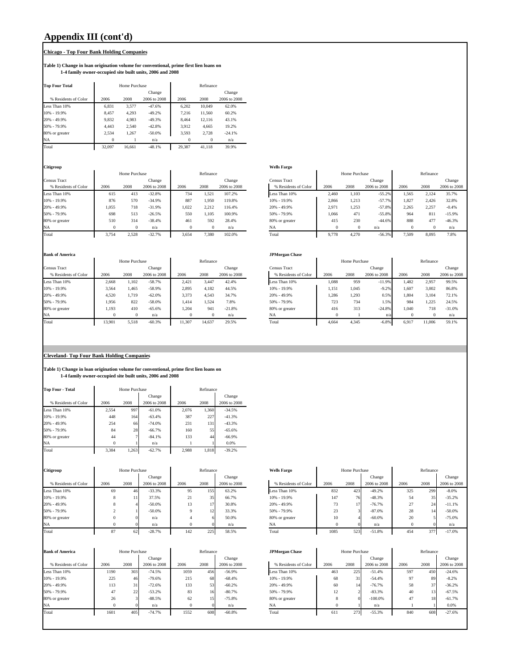# **Appendix III (cont'd)**

## **Chicago - Top Four Bank Holding Companies**

#### **Table 1) Change in loan origination volume for conventional, prime first lien loans on 1-4 family owner-occupied site built units, 2006 and 2008**

| <b>Top Four Total</b> |          | Home Purchase |              |          | Refinance |              |
|-----------------------|----------|---------------|--------------|----------|-----------|--------------|
|                       |          |               | Change       |          |           | Change       |
| % Residents of Color  | 2006     | 2008          | 2006 to 2008 | 2006     | 2008      | 2006 to 2008 |
| Less Than 10%         | 6.831    | 3.577         | $-47.6%$     | 6.202    | 10.049    | 62.0%        |
| 10% - 19.9%           | 8.457    | 4.293         | $-49.2%$     | 7.216    | 11.560    | 60.2%        |
| 20% - 49.9%           | 9.832    | 4.983         | $-49.3%$     | 8.464    | 12.116    | 43.1%        |
| 50% - 79.9%           | 4.443    | 2.540         | $-42.8%$     | 3.912    | 4.665     | 19.2%        |
| 80% or greater        | 2.534    | 1.267         | $-50.0%$     | 3.593    | 2.728     | $-24.1%$     |
| <b>NA</b>             | $\Omega$ |               | n/a          | $\Omega$ | $\Omega$  | n/a          |
| Total                 | 32.097   | 16.661        | $-48.1%$     | 29.387   | 41.118    | 39.9%        |

|                      |       | Home Purchase |              |       | Refinance |              |                      |       | Home Purchase |              |       | Refinance |            |
|----------------------|-------|---------------|--------------|-------|-----------|--------------|----------------------|-------|---------------|--------------|-------|-----------|------------|
| Census Tract         |       |               | Change       |       |           | Change       | <b>Census Tract</b>  |       |               | Change       |       |           | Change     |
| % Residents of Color | 2006  | 2008          | 2006 to 2008 | 2006  | 2008      | 2006 to 2008 | % Residents of Color | 2006  | 2008          | 2006 to 2008 | 2006  | 2008      | 2006 to 20 |
| Less Than 10%        | 615   | 413           | $-32.8%$     | 734   | .521      | 107.2%       | Less Than 10%        | 2,460 | 1,103         | $-55.2%$     | 1.565 | 2.124     | 35.7%      |
| 10% - 19.9%          | 876   | 570           | $-34.9%$     | 887   | 1.950     | 119.8%       | 10% - 19.9%          | 2.866 | 1,213         | $-57.7%$     | 1.827 | 2.426     | 32.8%      |
| 20% - 49.9%          | 1.055 | 718           | $-31.9%$     | 1.022 | 2.212     | 116.4%       | 20% - 49.9%          | 2.971 | 1,253         | $-57.8%$     | 2.265 | 2.257     | $-0.4%$    |
| 50% - 79.9%          | 698   | 513           | $-26.5%$     | 550   | .105      | 100.9%       | 50% - 79.9%          | 1.066 | 471           | $-55.8%$     | 964   | 811       | $-15.9%$   |
| 80% or greater       | 510   | 314           | $-38.4%$     | 461   | 592       | 28.4%        | 80% or greater       | 415   | 230           | $-44.6%$     | 888   | 477       | $-46.3%$   |
| <b>NA</b>            |       |               | n/a          |       |           | n/a          | <b>NA</b>            |       |               | n/a          |       |           | n/a        |
| $27.4 - 1$           | 2.751 | 2.520         | 22.70        | 2000  | 7.200     | 102.001      | $77.4 - 1$           | 0.770 | 1.270         | 5000         | 7.500 | 0.005     | 7.001      |

| Citigroup            |       |               |              |       |           |              | <b>Wells Fargo</b>   |       |               |              |       |           |              |
|----------------------|-------|---------------|--------------|-------|-----------|--------------|----------------------|-------|---------------|--------------|-------|-----------|--------------|
|                      |       | Home Purchase |              |       | Refinance |              |                      |       | Home Purchase |              |       | Refinance |              |
| Census Tract         |       |               | Change       |       |           | Change       | Census Tract         |       |               | Change       |       |           | Change       |
| % Residents of Color | 2006  | 2008          | 2006 to 2008 | 2006  | 2008      | 2006 to 2008 | % Residents of Color | 2006  | 2008          | 2006 to 2008 | 2006  | 2008      | 2006 to 2008 |
| Less Than 10%        | 615   | 413           | $-32.8%$     | 734   | 1,521     | 107.2%       | Less Than 10%        | 2.460 | 1.103         | $-55.2%$     | 1,565 | 2,124     | 35.7%        |
| 10% - 19.9%          | 876   | 570           | $-34.9%$     | 887   | 1.950     | 119.8%       | 10% - 19.9%          | 2.866 | 1.213         | $-57.7%$     | 1,827 | 2,426     | 32.8%        |
| 20% - 49.9%          | 1.055 | 718           | $-31.9%$     | 1.022 | 2.212     | 116.4%       | 20% - 49.9%          | 2.971 | .253          | $-57.8%$     | 2.265 | 2,257     | $-0.4%$      |
| 50% - 79.9%          | 698   | 513           | $-26.5%$     | 550   | 105       | 100.9%       | 50% - 79.9%          | 1.066 | 471           | $-55.8%$     | 964   | 81        | $-15.9%$     |
| 80% or greater       | 510   | 314           | $-38.4%$     | 461   | 592       | 28.4%        | 80% or greater       | 415   | 230           | $-44.6%$     | 888   | 477       | $-46.3%$     |
| NA                   |       | $\mathbf{0}$  | n/a          |       |           | n/a          | NA                   |       |               | n/a          |       |           | n/a          |
| Total                | 3,754 | 2,528         | $-32.7%$     | 3,654 | 7.380     | 102.0%       | Total                | 9,778 | 4.270         | $-56.3%$     | 7,509 | 8,095     | 7.8%         |

#### **Bank of America JPMorgan Chase**

|                      |          | Home Purchase |              |          | Refinance |              |                      |       | Home Purchase |              |       | Refinance |            |
|----------------------|----------|---------------|--------------|----------|-----------|--------------|----------------------|-------|---------------|--------------|-------|-----------|------------|
| Census Tract         |          |               | Change       |          |           | Change       | <b>Census Tract</b>  |       |               | Change       |       |           | Change     |
| % Residents of Color | 2006     | 2008          | 2006 to 2008 | 2006     | 2008      | 2006 to 2008 | % Residents of Color | 2006  | 2008          | 2006 to 2008 | 2006  | 2008      | 2006 to 20 |
| Less Than 10%        | 2.668    | 1,102         | $-58.7%$     | 2.421    | 3.447     | 42.4%        | Less Than 10%        | 1,088 | 959           | $-11.9%$     | 1.482 | 2,957     | 99.5%      |
| 10% - 19.9%          | 3.564    | 1.465         | $-58.9%$     | 2.895    | 4,182     | 44.5%        | $10\% - 19.9\%$      | 1.151 | 1,045         | $-9.2%$      | 1.607 | 3,002     | 86.8%      |
| 20% - 49.9%          | 4.520    | 1.719         | $-62.0%$     | 3.373    | 4.543     | 34.7%        | 20% - 49.9%          | 1.286 | 1,293         | 0.5%         | 1.804 | 3,104     | 72.1%      |
| 50% - 79.9%          | 1,956    | 822           | $-58.0%$     | 1.414    | 1.524     | 7.8%         | 50% - 79.9%          | 723   | 734           | 1.5%         | 984   | 1.225     | 24.5%      |
| 80% or greater       | 1.193    | 410           | $-65.6%$     | 1.204    | 941       | $-21.8%$     | 80% or greater       | 416   | 313           | $-24.8%$     | 1.040 | 718       | $-31.0%$   |
| NA                   | $\Omega$ | $\Omega$      | n/a          | $\Omega$ | $\Omega$  | n/a          | <b>NA</b>            |       |               | n/a          |       |           | n/a        |
| Total                | 13.901   | 5.518         | $-60.3%$     | 1.307    | 14.637    | 29.5%        | Total                | 4.664 | 4.345         | $-6.8%$      | 6.917 | 11.006    | 59.1%      |

|                      |        |               |              |        |        |              | . .                  |               |       |              |           |        |              |
|----------------------|--------|---------------|--------------|--------|--------|--------------|----------------------|---------------|-------|--------------|-----------|--------|--------------|
|                      |        | Home Purchase | Refinance    |        |        |              |                      | Home Purchase |       |              | Refinance |        |              |
| Census Tract         |        |               | Change       |        |        | Change       | Census Tract         |               |       | Change       |           |        | Change       |
| % Residents of Color | 2006   | 2008          | 2006 to 2008 | 2006   | 2008   | 2006 to 2008 | % Residents of Color | 2006          | 2008  | 2006 to 2008 | 2006      | 2008   | 2006 to 2008 |
| Less Than 10%        | 2.668  | 1.102         | $-58.7%$     | 2.421  | 3.447  | 42.4%        | Less Than 10%        | 1.088         | 959   | $-11.9%$     | 1.482     | 2,957  | 99.5%        |
| 10% - 19.9%          | 3.564  | 1.465         | $-58.9%$     | 2,895  | 4.182  | 44.5%        | 10% - 19.9%          | 1.151         | .045  | $-9.2%$      | 1,607     | 3.002  | 86.8%        |
| 20% - 49.9%          | 4.520  | 1.719         | $-62.0%$     | 3.373  | 4.543  | 34.7%        | 20% - 49.9%          | .286          | .293  | 0.5%         | 1.804     | 3,104  | 72.1%        |
| 50% - 79.9%          | 1,956  | 822           | $-58.0%$     | 1.414  | 1,524  | 7.8%         | 50% - 79.9%          | 723           | 734   | 1.5%         | 984       | 1,225  | 24.5%        |
| 80% or greater       | 1,193  | 410           | $-65.6%$     | 1,204  | 941    | $-21.8%$     | 80% or greater       | 416           | 313   | $-24.8%$     | 1,040     | 718    | $-31.0%$     |
| NA                   |        | $\Omega$      | n/a          |        |        | n/a          | <b>NA</b>            |               |       | n/a.         |           |        | n/a          |
| Total                | 13,901 | 5.518         | $-60.3%$     | 11,307 | 14,637 | 29.5%        | Total                | 4.664         | 4,345 | $-6.8%$      | 6,917     | 11,006 | 59.1%        |
|                      |        |               |              |        |        |              |                      |               |       |              |           |        |              |

#### **Cleveland- Top Four Bank Holding Companies**

# **Table 1) Change in loan origination volume for conventional, prime first lien loans on 1-4 family owner-occupied site built units, 2006 and 2008**

| <b>Top Four - Total</b> |          | Home Purchase |              |       | Refinance |              |
|-------------------------|----------|---------------|--------------|-------|-----------|--------------|
|                         |          |               | Change       |       |           | Change       |
| % Residents of Color    | 2006     | 2008          | 2006 to 2008 | 2006  | 2008      | 2006 to 2008 |
| Less Than 10%           | 2.554    | 997           | $-61.0%$     | 2.076 | 1.360     | $-34.5%$     |
| 10% - 19.9%             | 448      | 164           | $-63.4%$     | 387   | 227       | $-41.3%$     |
| 20% - 49.9%             | 254      | 66            | $-74.0%$     | 231   | 131       | $-43.3%$     |
| 50% - 79.9%             | 84       | 28            | $-66.7%$     | 160   | 55        | $-65.6%$     |
| 80% or greater          | 44       | 7             | $-84.1%$     | 133   | 44        | $-66.9%$     |
| <b>NA</b>               | $\Omega$ |               | n/a          |       |           | 0.0%         |
| Total                   | 3.384    | 1,263         | $-62.7%$     | 2.988 | 1,818     | $-39.2%$     |

| Citigroup            |      | Home Purchase |              |      | Refinance |              | <b>Wells Fargo</b>   |      | Home Purchase |              |      | Refinance |            |
|----------------------|------|---------------|--------------|------|-----------|--------------|----------------------|------|---------------|--------------|------|-----------|------------|
|                      |      |               | Change       |      |           | Change       |                      |      |               | Change       |      |           | Change     |
| % Residents of Color | 2006 | 2008          | 2006 to 2008 | 2006 | 2008      | 2006 to 2008 | % Residents of Color | 2006 | 2008          | 2006 to 2008 | 2006 | 2008      | 2006 to 20 |
| Less Than 10%        | 69   | 46            | $-33.3%$     | 95   | 155       | 63.2%        | Less Than 10%        | 832  | 423           | $-49.2%$     | 325  | 299       | $-8.0%$    |
| 10% - 19.9%          |      |               | 37.5%        | 21   | 35        | 66.7%        | 10% - 19.9%          | 147  | 76            | $-48.3%$     | 54   | 35        | $-35.2%$   |
| 20% - 49.9%          |      |               | $-50.0%$     | 13   | 17        | 30.8%        | 20% - 49.9%          | 73   |               | $-76.7%$     | 27   | 24        | $-11.1%$   |
| 50% - 79.9%          |      |               | $-50.0%$     |      | 12        | 33.3%        | 50% - 79.9%          | 23   |               | $-87.0%$     | 28   | 14        | $-50.0%$   |
| 80% or greater       |      |               | n/a          |      |           | 50.0%        | 80% or greater       | 10   |               | $-60.0%$     | 20   |           | $-75.0%$   |
| <b>NA</b>            |      |               | n/a          |      |           | n/a          | <b>NA</b>            |      |               | n/a          |      |           | n/a        |
| Total                | 87   | 62            | $-28.7%$     | 142  | 225       | 58.5%        | Total                | 1085 | 523           | $-51.8%$     | 454  | 377       | $-17.0%$   |

| <b>Bank of America</b> |      | Home Purchase |              |          | Refinance |              | <b>JPMorgan Chase</b> |      | Home Purchase |              |      | Refinance       |            |
|------------------------|------|---------------|--------------|----------|-----------|--------------|-----------------------|------|---------------|--------------|------|-----------------|------------|
|                        |      |               | Change       |          |           | Change       |                       |      |               | Change       |      |                 | Change     |
| % Residents of Color   | 2006 | 2008          | 2006 to 2008 | 2006     | 2008      | 2006 to 2008 | % Residents of Color  | 2006 | 2008          | 2006 to 2008 | 2006 | 2008            | 2006 to 20 |
| Less Than 10%          | 1190 | 303           | $-74.5%$     | 1059     | 456       | $-56.9%$     | Less Than 10%         | 463  | 225           | $-51.4%$     | 597  | 450             | $-24.6%$   |
| $10\% - 19.9\%$        | 225  | 46            | $-79.6%$     | 215      | 68        | $-68.4%$     | 10% - 19.9%           | 68   | 31            | $-54.4%$     | 97   | 89              | $-8.2%$    |
| 20% - 49.9%            | 113  | 31            | $-72.6%$     | 133      | 53        | $-60.2%$     | 20% - 49.9%           | 60   |               | $-76.7%$     | 58   | 37              | $-36.2%$   |
| 50% - 79.9%            | 47   | 22            | $-53.2%$     | 83       | 16        | $-80.7%$     | 50% - 79.9%           | 12   |               | $-83.3%$     | 40   | 13 <sup>1</sup> | $-67.5%$   |
| 80% or greater         | 26   |               | $-88.5%$     | 62       | 15        | $-75.8%$     | 80% or greater        |      |               | $-100.0%$    | 47   | 18              | $-61.7%$   |
| <b>NA</b>              |      |               | n/a          | $\Omega$ |           | n/a          | NA.                   |      |               | n/a          |      |                 | 0.0%       |
| Total                  | 1601 | 405           | $-74.7%$     | 1552     | 608       | $-60.8%$     | Total                 | 611  | 273           | $-55.3%$     | 840  | 608             | $-27.6%$   |
|                        |      |               |              |          |           |              |                       |      |               |              |      |                 |            |

| group                |        | Home Purchase |              |          | Refinance |                      | <b>Wells Fargo</b>   |                  | Home Purchase |              |        | Refinance |              |  |
|----------------------|--------|---------------|--------------|----------|-----------|----------------------|----------------------|------------------|---------------|--------------|--------|-----------|--------------|--|
|                      |        |               | Change       |          |           | Change               |                      |                  |               | Change       |        |           | Change       |  |
| % Residents of Color | 2006   | 2008          | 2006 to 2008 | 2006     | 2008      | 2006 to 2008         | % Residents of Color | 2006             | 2008          | 2006 to 2008 | 2006   | 2008      | 2006 to 2008 |  |
| s Than 10%           | 69     |               | $-33.3%$     | 95       | 155       | 63.2%                | Less Than 10%        | 832              | 423           | $-49.2%$     | 325    | 299       | $-8.0%$      |  |
| $-19.9%$             |        |               | 37.5%        | 41       | 35        | 66.7%                | 10% - 19.9%          | 147              | 76            | $-48.3%$     | 54     | 35        | $-35.2%$     |  |
| $-49.9%$             |        |               | $-50.0%$     | 13       |           | 30.8%                | 20% - 49.9%          | 73               |               | $-76.7%$     | 27     | 24        | $-11.1%$     |  |
| $-79.9%$             |        |               | $-50.0%$     |          | 12        | 33.3%                | 50% - 79.9%          | 23               |               | $-87.0%$     | 28     |           | $-50.0%$     |  |
| or greater           |        |               | n/a          |          |           | 50.0%                | 80% or greater       | 10               |               | $-60.0%$     | 20     |           | $-75.0%$     |  |
|                      |        |               | n/a          | $\Omega$ |           | n/a                  | NA.                  |                  |               | n/a          |        |           | n/a          |  |
|                      | $\sim$ |               | 0.0.701      | 1.10     | $\sim$    | $\sim$ $\sim$ $\sim$ | <b>PER 1 1 1</b>     | 300 <sub>5</sub> | $\sim$ $\sim$ | $-1.001$     | $\sim$ | $\sim$    | 17.001       |  |

| ık of America        |      | Home Purchase |              |      | Refinance |              | <b>JPMorgan Chase</b> |      | Home Purchase |              |      | Refinance |              |
|----------------------|------|---------------|--------------|------|-----------|--------------|-----------------------|------|---------------|--------------|------|-----------|--------------|
|                      |      |               | Change       |      |           | Change       |                       |      |               | Change       |      |           | Change       |
| % Residents of Color | 2006 | 2008          | 2006 to 2008 | 2006 | 2008      | 2006 to 2008 | % Residents of Color  | 2006 | 2008          | 2006 to 2008 | 2006 | 2008      | 2006 to 2008 |
| s Than 10%           | 1190 | 303           | $-74.5%$     | 1059 | 456       | $-56.9%$     | Less Than 10%         | 463  | 225           | $-51.4%$     | 597  | 450       | $-24.6%$     |
| $-19.9%$             | 225  | 46            | $-79.6%$     | 215  | 68        | $-68.4%$     | $10\% - 19.9\%$       | 68   |               | $-54.4%$     | 97   | 89        | $-8.2%$      |
| $-49.9%$             | 113  | 31            | $-72.6%$     | 133  | 53        | $-60.2%$     | 20% - 49.9%           | 60   |               | $-76.7%$     | 58   | 37        | $-36.2%$     |
| $5 - 79.9%$          | 47   | 22            | $-53.2%$     | 83   | 16        | $-80.7%$     | 50% - 79.9%           | 12   |               | $-83.3%$     | 40   | 13        | $-67.5%$     |
| or greater           | 26   |               | $-88.5%$     | 62   | 15        | $-75.8%$     | 80% or greater        |      |               | $-100.0%$    | 47   | 18        | $-61.7%$     |
|                      |      |               | n/a          |      |           | n/a          | NA                    |      |               | n/a          |      |           | 0.0%         |
|                      | 1601 | 405           | $-74.7%$     | 1552 | 608       | $-60.8%$     | Total                 | 611  | 273           | $-55.3%$     | 840  | 608       | $-27.6%$     |
|                      |      |               |              |      |           |              |                       |      |               |              |      |           |              |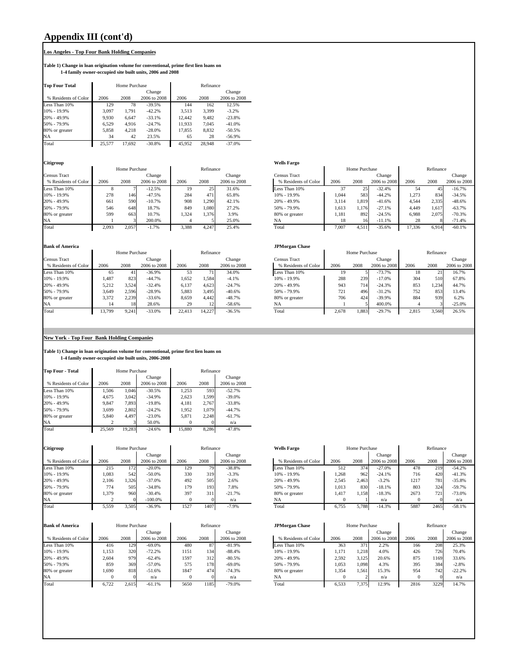# **Appendix III (cont'd)**

## **Los Angeles - Top Four Bank Holding Companies**

**Table 1) Change in loan origination volume for conventional, prime first lien loans on 1-4 family owner-occupied site built units, 2006 and 2008**

| <b>Top Four Total</b> |        | Home Purchase |              |        | Refinance |              |
|-----------------------|--------|---------------|--------------|--------|-----------|--------------|
|                       |        |               | Change       |        |           | Change       |
| % Residents of Color  | 2006   | 2008          | 2006 to 2008 | 2006   | 2008      | 2006 to 2008 |
| Less Than 10%         | 129    | 78            | $-39.5%$     | 144    | 162       | 12.5%        |
| 10% - 19.9%           | 3.097  | 1.791         | $-42.2%$     | 3.513  | 3.399     | $-3.2%$      |
| 20% - 49.9%           | 9.930  | 6.647         | $-33.1%$     | 12.442 | 9.482     | $-23.8%$     |
| 50% - 79.9%           | 6.529  | 4.916         | $-24.7%$     | 11.933 | 7.045     | $-41.0%$     |
| 80% or greater        | 5.858  | 4.218         | $-28.0%$     | 17.855 | 8.832     | $-50.5%$     |
| <b>NA</b>             | 34     | 42            | 23.5%        | 65     | 28        | $-56.9%$     |
| Total                 | 25.577 | 17.692        | $-30.8%$     | 45.952 | 28.948    | $-37.0%$     |

#### **Citigroup Wells Fargo**

|                      |       | Home Purchase |              |       | Refinance |              |                      |       | Home Purchase |              |        | Refinance |            |
|----------------------|-------|---------------|--------------|-------|-----------|--------------|----------------------|-------|---------------|--------------|--------|-----------|------------|
| Census Tract         |       |               | Change       |       |           | Change       | Census Tract         |       |               | Change       |        |           | Change     |
| % Residents of Color | 2006  | 2008          | 2006 to 2008 | 2006  | 2008      | 2006 to 2008 | % Residents of Color | 2006  | 2008          | 2006 to 2008 | 2006   | 2008      | 2006 to 20 |
| Less Than 10%        |       |               | $-12.5%$     | 19    | 25.       | 31.6%        | Less Than 10%        |       | 25            | $-32.4%$     | 54     | 45        | $-16.7%$   |
| 10% - 19.9%          | 278   | 146           | $-47.5%$     | 284   | 471       | 65.8%        | $10\% - 19.9\%$      | 1.044 | 583           | $-44.2%$     | 1,273  | 834       | $-34.5%$   |
| 20% - 49.9%          | 661   | 590           | $-10.7%$     | 908   | . 290     | 42.1%        | 20% - 49.9%          | 3.114 | 1,819         | $-41.6%$     | 4.544  | 2,335     | $-48.6%$   |
| 50% - 79.9%          | 546   | 648           | 18.7%        | 849   | 1.080     | 27.2%        | 50% - 79.9%          | 1,613 | 1,176         | $-27.1%$     | 4.449  | 1,617     | $-63.7%$   |
| 80% or greater       | 599   | 663           | 10.7%        | 1.324 | 1.376     | 3.9%         | 80% or greater       | 1.181 | 892           | $-24.5%$     | 6.988  | 2.075     | $-70.3%$   |
| NA                   |       |               | 200.0%       |       |           | 25.0%        | <b>NA</b>            | 18    | 16            | $-11.1%$     | 28     |           | $-71.4%$   |
| Total                | 2.093 | 2,057         | $-1.7%$      | 3.388 | 4,247     | 25.4%        | Total                | 7.007 | 4.511         | $-35.6%$     | 17.336 | 6,914     | $-60.1%$   |

#### **Bank of America**

|                      |        | Home Purchase |              |        | Refinance |              |                      |       | Home Purchase |              |       | Refinance |              |
|----------------------|--------|---------------|--------------|--------|-----------|--------------|----------------------|-------|---------------|--------------|-------|-----------|--------------|
| Census Tract         |        |               | Change       |        |           | Change       | Census Tract         |       |               | Change       |       |           | Change       |
| % Residents of Color | 2006   | 2008          | 2006 to 2008 | 2006   | 2008      | 2006 to 2008 | % Residents of Color | 2006  | 2008          | 2006 to 2008 | 2006  | 2008      | 2006 to 2008 |
| Less Than 10%        | 65     |               | $-36.9%$     | 53     |           | 34.0%        | Less Than 10%        | 19    |               | $-73.7%$     | 18    |           | 16.7%        |
| 10% - 19.9%          | 1.487  | 823           | $-44.7%$     | 1.652  | . . 584   | $-4.1%$      | $10\% - 19.9\%$      | 288   | 239           | $-17.0%$     | 304   | 510       | 67.8%        |
| 20% - 49.9%          | 5.212  | 3.524         | $-32.4%$     | 6.137  | 4.623     | $-24.7%$     | 20% - 49.9%          | 943   | 7141          | $-24.3%$     | 853   | 1.23'     | 44.7%        |
| 50% - 79.9%          | 3.649  | 2.596         | $-28.9%$     | 5.883  | 3.495     | $-40.6%$     | 50% - 79.9%          | 721   | 496           | $-31.2%$     | 752   | 853       | 13.4%        |
| 80% or greater       | 3.372  | 2.239         | $-33.6%$     | 8.659  | 4.442     | $-48.7%$     | 80% or greater       | 706   | 424           | $-39.9%$     | 884   | 939       | 6.2%         |
| <b>NA</b>            |        | 18            | 28.6%        | 29     | 12        | $-58.6%$     | NA                   |       |               | 400.0%       |       |           | $-25.0%$     |
| Total                | 3,799ء | 9.241         | $-33.0%$     | 22.413 | 14.227    | $-36.5%$     | Total                | 2.678 | 1,883         | $-29.7%$     | 2.815 | 3.560     | 26.5%        |

# Eensus Tract<br>
2006 2008 2006 to 2008 2006 2008 2006 to 2008<br>
2006 to 2008 2006 to 2008 2006 to 2008 2006 to 2008 2006 to 2008 2006 to 2008 2006 2008 2006 to 2008 2006 200 Refinance  $\begin{tabular}{p{2cm}p{2cm}p{2cm}} \hline & \multicolumn{3}{c}{Home~Purchase} \\\hline \multicolumn{3}{c}{Change} \end{tabular}$

|               |              |        |           |              | <b>JPMorgan Chase</b> |       |               |              |       |           |              |
|---------------|--------------|--------|-----------|--------------|-----------------------|-------|---------------|--------------|-------|-----------|--------------|
| Home Purchase |              |        | Refinance |              |                       |       | Home Purchase |              |       | Refinance |              |
|               | Change       |        |           | Change       | Census Tract          |       |               | Change       |       |           | Change       |
| 2008          | 2006 to 2008 | 2006   | 2008      | 2006 to 2008 | % Residents of Color  | 2006  | 2008          | 2006 to 2008 | 2006  | 2008      | 2006 to 2008 |
| 41            | $-36.9%$     | 53     | 71.       | 34.0%        | Less Than 10%         | 19    |               | $-73.7%$     | 18    | 21        | 16.7%        |
| 823           | $-44.7%$     | 1.652  | 1,584     | $-4.1%$      | 10% - 19.9%           | 288   | 239           | $-17.0%$     | 304   | 510       | 67.8%        |
| 3,524         | $-32.4%$     | 6.137  | 4.623     | $-24.7%$     | 20% - 49.9%           | 943   | 714           | $-24.3%$     | 853   | .234      | 44.7%        |
| 2,596         | $-28.9%$     | 5.883  | 3.495     | $-40.6%$     | 50% - 79.9%           | 721   | 496           | $-31.2%$     | 752   | 853       | 13.4%        |
| 2,239         | $-33.6%$     | 8.659  | 4.442     | $-48.7%$     | 80% or greater        | 706   | 424           | $-39.9%$     | 884   | 939       | 6.2%         |
| 18            | 28.6%        | 29     | 12        | $-58.6%$     | <b>NA</b>             |       |               | 400.0%       |       |           | $-25.0%$     |
| 9,241         | $-33.0%$     | 22.413 | 14.227    | $-36.5%$     | Total                 | 2.678 | 1,883         | $-29.7%$     | 2.815 | 3,560     | 26.5%        |
|               |              |        |           |              |                       |       |               |              |       |           |              |

#### **New York - Top Four Bank Holding Companies**

**Table 1) Change in loan origination volume for conventional, prime first lien loans on 1-4 family owner-occupied site built units, 2006-2008**

| <b>Top Four - Total</b> |        | Home Purchase |              |        | Refinance |              |
|-------------------------|--------|---------------|--------------|--------|-----------|--------------|
|                         |        |               | Change       |        |           | Change       |
| % Residents of Color    | 2006   | 2008          | 2006 to 2008 | 2006   | 2008      | 2006 to 2008 |
| Less Than 10%           | 1.506  | 1.046         | $-30.5%$     | 1,253  | 593       | $-52.7%$     |
| 10% - 19.9%             | 4,675  | 3.042         | $-34.9%$     | 2,623  | 1.599     | $-39.0%$     |
| 20% - 49.9%             | 9.847  | 7.893         | $-19.8%$     | 4,181  | 2.767     | $-33.8%$     |
| 50% - 79.9%             | 3.699  | 2.802         | $-24.2%$     | 1.952  | 1.079     | $-44.7%$     |
| 80% or greater          | 5.840  | 4.497         | $-23.0%$     | 5.871  | 2.248     | $-61.7%$     |
| NA                      |        |               | 50.0%        |        |           | n/a          |
| Total                   | 25.569 | 19.283        | $-24.6%$     | 15.880 | 8.286     | $-47.8%$     |

| Citigroup            |       | Home Purchase |              |      | Refinance |              | <b>Wells Fargo</b>   |       | Home Purchase |              |      | Refinance |              |
|----------------------|-------|---------------|--------------|------|-----------|--------------|----------------------|-------|---------------|--------------|------|-----------|--------------|
|                      |       |               | Change       |      |           | Change       |                      |       |               | Change       |      |           | Change       |
| % Residents of Color | 2006  | 2008          | 2006 to 2008 | 2006 | 2008      | 2006 to 2008 | % Residents of Color | 2006  | 2008          | 2006 to 2008 | 2006 | 2008      | 2006 to 2008 |
| Less Than 10%        | 215   | 172           | $-20.0\%$    | 129  | 79        | $-38.8%$     | Less Than 10%        | 512   | 374           | $-27.0%$     | 478  | 219       | $-54.2%$     |
| 10% - 19.9%          | 1.083 | 542           | $-50.0\%$    | 330  | 319       | $-3.3%$      | 10% - 19.9%          | .268  | 962           | $-24.1%$     | 716  | 420       | $-41.3%$     |
| 20% - 49.9%          | 2.106 | .326          | $-37.0%$     | 492  | 505       | 2.6%         | 20% - 49.9%          | 2.545 | 2.463         | $-3.2%$      | 1217 | 781       | $-35.8%$     |
| 50% - 79.9%          | 774   | 505           | $-34.8%$     | 179  | 193       | 7.8%         | 50% - 79.9%          | 1.013 | 830           | $-18.1%$     | 803  | 324       | $-59.7%$     |
| 80% or greater       | 379ء  | 960           | $-30.4%$     | 397  | 311       | $-21.7%$     | 80% or greater       | 1.417 | 1.158         | $-18.3%$     | 2673 | 721       | $-73.0%$     |
| <b>NA</b>            |       |               | $-100.0\%$   |      |           | n/a          | NA                   |       |               | n/a          |      |           | n/a          |
| Total                | 5.559 | .505          | $-36.9%$     | 1527 | 1407      | $-7.9%$      | Total                | 6.755 | 5.788         | $-14.3%$     | 5887 | 2465      | $-58.1%$     |

| <b>Bank of America</b> |       | Home Purchase |              |      | Refinance |              | <b>JPMorgan Chase</b> |       | Home Purchase |              |      | Refinance |              |
|------------------------|-------|---------------|--------------|------|-----------|--------------|-----------------------|-------|---------------|--------------|------|-----------|--------------|
|                        |       |               | Change       |      |           | Change       |                       |       |               | Change       |      |           | Change       |
| % Residents of Color   | 2006  | 2008          | 2006 to 2008 | 2006 | 2008      | 2006 to 2008 | % Residents of Color  | 2006  | 2008          | 2006 to 2008 | 2006 | 2008      | 2006 to 2008 |
| Less Than 10%          | 416   | 129           | $-69.0%$     | 480  | 87        | $-81.9%$     | Less Than 10%         | 363   | 371           | 2.2%         | 166  | 208       | 25.3%        |
| 10% - 19.9%            | 1,153 | 320           | $-72.2%$     | 1151 | 134       | $-88.4%$     | $10\% - 19.9\%$       | 1.171 | 1,218         | 4.0%         | 426  | 7261      | 70.4%        |
| 20% - 49.9%            | 2.604 | 979           | $-62.4%$     | 1597 | 312       | $-80.5%$     | 20% - 49.9%           | 2,592 | 3.125         | 20.6%        | 875  | 169       | 33.6%        |
| 50% - 79.9%            | 859   | 369           | $-57.0%$     | 575  | 178       | $-69.0\%$    | 50% - 79.9%           | 1.053 | 1.098         | 4.3%         | 395  | 384       | $-2.8%$      |
| 80% or greater         | 1.690 | 818           | $-51.6%$     | 1847 | 474       | $-74.3%$     | 80% or greater        | .354  | . 561         | 15.3%        | 954  | 742.      | $-22.2%$     |
| <b>NA</b>              |       |               | n/a          |      |           | n/a          | <b>NA</b>             |       |               | n/a          |      |           | n/a          |
| Total                  | 6.722 | 2.615         | $-61.1%$     | 5650 | 185       | $-79.0%$     | Total                 | 6.533 | 7.375         | 12.9%        | 2816 | 3229      | 14.7%        |

| Citigroup            |       | Home Purchase |              |      | Refinance |              | <b>Wells Fargo</b>   |       | Home Purchase |              |      | Refinance |              |
|----------------------|-------|---------------|--------------|------|-----------|--------------|----------------------|-------|---------------|--------------|------|-----------|--------------|
|                      |       |               | Change       |      |           | Change       |                      |       |               | Change       |      |           | Change       |
| % Residents of Color | 2006  | 2008          | 2006 to 2008 | 2006 | 2008      | 2006 to 2008 | % Residents of Color | 2006  | 2008          | 2006 to 2008 | 2006 | 2008      | 2006 to 2008 |
| Less Than 10%        | 215   | 172           | $-20.0\%$    | 129  | 79.       | $-38.8%$     | Less Than 10%        | 512   | 374           | $-27.0%$     | 478  | 219       | $-54.2%$     |
| 10% - 19.9%          | 1.083 | 542           | $-50.0%$     | 330  | 319       | $-3.3%$      | 10% - 19.9%          | 1.268 | 962           | $-24.1%$     | 716  | 420       | $-41.3%$     |
| 20% - 49.9%          | 2,106 | .326          | $-37.0%$     | 492  | 505       | 2.6%         | 20% - 49.9%          | 2,545 | 2.463         | $-3.2%$      | 1217 | 781       | $-35.8%$     |
| 50% - 79.9%          | 774   | 505           | $-34.8%$     | 179  | 193       | 7.8%         | 50% - 79.9%          | 1,013 | 830           | $-18.1%$     | 803  | 324       | $-59.7%$     |
| 80% or greater       | 1,379 | 960           | $-30.4%$     | 397  | 311       | $-21.7%$     | 80% or greater       | 1.417 | 1.158         | $-18.3%$     | 2673 | 721       | $-73.0%$     |
| NA                   |       |               | $-100.0\%$   |      |           | n/a          | <b>NA</b>            | 0     |               | n/a          |      |           | n/a          |
| Total                | 5,559 | 3.505         | $-36.9%$     | 1527 | 1407      | $-7.9%$      | Total                | 6,755 | 5.788         | $-14.3%$     | 5887 | 2465      | $-58.1%$     |

| <b>Bank of America</b> |       | Home Purchase |              |      | Refinance |              | <b>JPMorgan Chase</b> |      | Home Purchase |                |      | Refinance |              |
|------------------------|-------|---------------|--------------|------|-----------|--------------|-----------------------|------|---------------|----------------|------|-----------|--------------|
|                        |       |               | Change       |      |           | Change       |                       |      |               | Change         |      |           | Change       |
| % Residents of Color   | 2006  | 2008          | 2006 to 2008 | 2006 | 2008      | 2006 to 2008 | % Residents of Color  | 2006 | 2008          | 2006 to 2008   | 2006 | 2008      | 2006 to 2008 |
| Less Than 10%          | 416   | 129           | $-69.0%$     | 480  |           | $-81.9%$     | Less Than 10%         |      | 363           | 371<br>2.2%    | 166  | 208       | 25.3%        |
| 10% - 19.9%            | .153  | 320           | $-72.2%$     | 1151 | 134       | $-88.4%$     | 10% - 19.9%           |      | 1.171         | 1.218<br>4.0%  | 426  | 7261      | 70.4%        |
| 20% - 49.9%            | 2.604 | 979           | $-62.4%$     | 1597 | 312       | $-80.5%$     | 20% - 49.9%           |      | 2,592         | 3.125<br>20.6% | 875  | 1169      | 33.6%        |
| 50% - 79.9%            | 859   | 369           | $-57.0%$     | 575  | 1781      | $-69.0\%$    | 50% - 79.9%           |      | 1.053         | 1.098<br>4.3%  | 395  | 384       | $-2.8%$      |
| 80% or greater         | 1.690 | 818           | $-51.6%$     | 1847 | 474       | $-74.3%$     | 80% or greater        |      | 1,354         | 15.3%<br>1.561 | 954  | 742       | $-22.2%$     |
| NA                     |       |               | n/a          |      |           | n/a          | <b>NA</b>             |      |               | n/a            |      |           | n/a          |
| Total                  | 6.722 | 2,615         | $-61.1%$     | 5650 | 185       | $-79.0%$     | Total                 |      | 6,533         | 7.375<br>12.9% | 2816 | 3229      | 14.7%        |